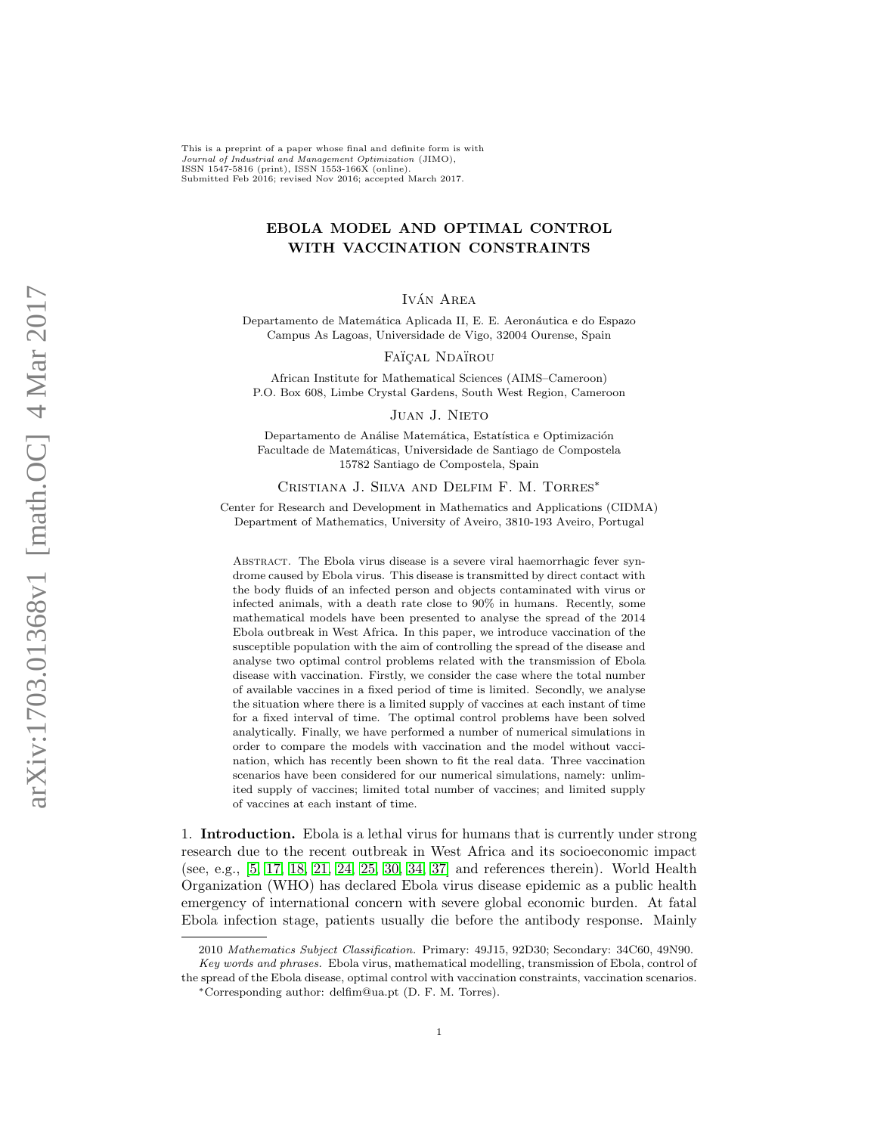This is a preprint of a paper whose final and definite form is with Journal of Industrial and Management Optimization (JIMO), ISSN 1547-5816 (print), ISSN 1553-166X (online). Submitted Feb 2016; revised Nov 2016; accepted March 2017.

## EBOLA MODEL AND OPTIMAL CONTROL WITH VACCINATION CONSTRAINTS

IVÁN AREA

Departamento de Matemática Aplicada II, E. E. Aeronáutica e do Espazo Campus As Lagoas, Universidade de Vigo, 32004 Ourense, Spain

FAÏÇAL NDAÏROU

African Institute for Mathematical Sciences (AIMS–Cameroon) P.O. Box 608, Limbe Crystal Gardens, South West Region, Cameroon

Juan J. Nieto

Departamento de Análise Matemática, Estatística e Optimización Facultade de Matemáticas, Universidade de Santiago de Compostela 15782 Santiago de Compostela, Spain

## Cristiana J. Silva and Delfim F. M. Torres<sup>∗</sup>

Center for Research and Development in Mathematics and Applications (CIDMA) Department of Mathematics, University of Aveiro, 3810-193 Aveiro, Portugal

Abstract. The Ebola virus disease is a severe viral haemorrhagic fever syndrome caused by Ebola virus. This disease is transmitted by direct contact with the body fluids of an infected person and objects contaminated with virus or infected animals, with a death rate close to 90% in humans. Recently, some mathematical models have been presented to analyse the spread of the 2014 Ebola outbreak in West Africa. In this paper, we introduce vaccination of the susceptible population with the aim of controlling the spread of the disease and analyse two optimal control problems related with the transmission of Ebola disease with vaccination. Firstly, we consider the case where the total number of available vaccines in a fixed period of time is limited. Secondly, we analyse the situation where there is a limited supply of vaccines at each instant of time for a fixed interval of time. The optimal control problems have been solved analytically. Finally, we have performed a number of numerical simulations in order to compare the models with vaccination and the model without vaccination, which has recently been shown to fit the real data. Three vaccination scenarios have been considered for our numerical simulations, namely: unlimited supply of vaccines; limited total number of vaccines; and limited supply of vaccines at each instant of time.

1. Introduction. Ebola is a lethal virus for humans that is currently under strong research due to the recent outbreak in West Africa and its socioeconomic impact (see, e.g., [\[5,](#page-18-0) [17,](#page-18-1) [18,](#page-18-2) [21,](#page-18-3) [24,](#page-18-4) [25,](#page-18-5) [30,](#page-19-0) [34,](#page-19-1) [37\]](#page-19-2) and references therein). World Health Organization (WHO) has declared Ebola virus disease epidemic as a public health emergency of international concern with severe global economic burden. At fatal Ebola infection stage, patients usually die before the antibody response. Mainly

<sup>2010</sup> Mathematics Subject Classification. Primary: 49J15, 92D30; Secondary: 34C60, 49N90. Key words and phrases. Ebola virus, mathematical modelling, transmission of Ebola, control of

the spread of the Ebola disease, optimal control with vaccination constraints, vaccination scenarios. <sup>∗</sup>Corresponding author: delfim@ua.pt (D. F. M. Torres).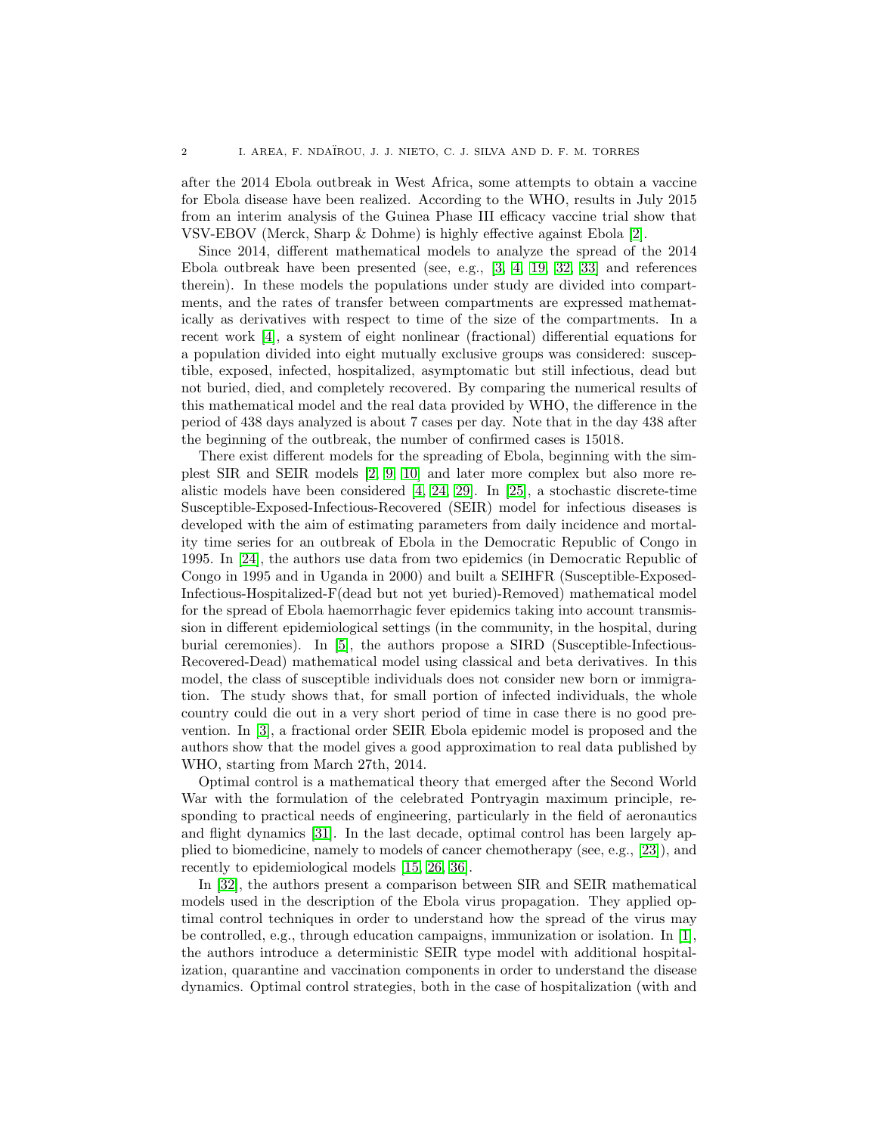after the 2014 Ebola outbreak in West Africa, some attempts to obtain a vaccine for Ebola disease have been realized. According to the WHO, results in July 2015 from an interim analysis of the Guinea Phase III efficacy vaccine trial show that VSV-EBOV (Merck, Sharp & Dohme) is highly effective against Ebola [\[2\]](#page-18-6).

Since 2014, different mathematical models to analyze the spread of the 2014 Ebola outbreak have been presented (see, e.g., [\[3,](#page-18-7) [4,](#page-18-8) [19,](#page-18-9) [32,](#page-19-3) [33\]](#page-19-4) and references therein). In these models the populations under study are divided into compartments, and the rates of transfer between compartments are expressed mathematically as derivatives with respect to time of the size of the compartments. In a recent work [\[4\]](#page-18-8), a system of eight nonlinear (fractional) differential equations for a population divided into eight mutually exclusive groups was considered: susceptible, exposed, infected, hospitalized, asymptomatic but still infectious, dead but not buried, died, and completely recovered. By comparing the numerical results of this mathematical model and the real data provided by WHO, the difference in the period of 438 days analyzed is about 7 cases per day. Note that in the day 438 after the beginning of the outbreak, the number of confirmed cases is 15018.

There exist different models for the spreading of Ebola, beginning with the simplest SIR and SEIR models [\[2,](#page-18-6) [9,](#page-18-10) [10\]](#page-18-11) and later more complex but also more realistic models have been considered [\[4,](#page-18-8) [24,](#page-18-4) [29\]](#page-19-5). In [\[25\]](#page-18-5), a stochastic discrete-time Susceptible-Exposed-Infectious-Recovered (SEIR) model for infectious diseases is developed with the aim of estimating parameters from daily incidence and mortality time series for an outbreak of Ebola in the Democratic Republic of Congo in 1995. In [\[24\]](#page-18-4), the authors use data from two epidemics (in Democratic Republic of Congo in 1995 and in Uganda in 2000) and built a SEIHFR (Susceptible-Exposed-Infectious-Hospitalized-F(dead but not yet buried)-Removed) mathematical model for the spread of Ebola haemorrhagic fever epidemics taking into account transmission in different epidemiological settings (in the community, in the hospital, during burial ceremonies). In [\[5\]](#page-18-0), the authors propose a SIRD (Susceptible-Infectious-Recovered-Dead) mathematical model using classical and beta derivatives. In this model, the class of susceptible individuals does not consider new born or immigration. The study shows that, for small portion of infected individuals, the whole country could die out in a very short period of time in case there is no good prevention. In [\[3\]](#page-18-7), a fractional order SEIR Ebola epidemic model is proposed and the authors show that the model gives a good approximation to real data published by WHO, starting from March 27th, 2014.

Optimal control is a mathematical theory that emerged after the Second World War with the formulation of the celebrated Pontryagin maximum principle, responding to practical needs of engineering, particularly in the field of aeronautics and flight dynamics [\[31\]](#page-19-6). In the last decade, optimal control has been largely applied to biomedicine, namely to models of cancer chemotherapy (see, e.g., [\[23\]](#page-18-12)), and recently to epidemiological models [\[15,](#page-18-13) [26,](#page-19-7) [36\]](#page-19-8).

In [\[32\]](#page-19-3), the authors present a comparison between SIR and SEIR mathematical models used in the description of the Ebola virus propagation. They applied optimal control techniques in order to understand how the spread of the virus may be controlled, e.g., through education campaigns, immunization or isolation. In  $[1]$ , the authors introduce a deterministic SEIR type model with additional hospitalization, quarantine and vaccination components in order to understand the disease dynamics. Optimal control strategies, both in the case of hospitalization (with and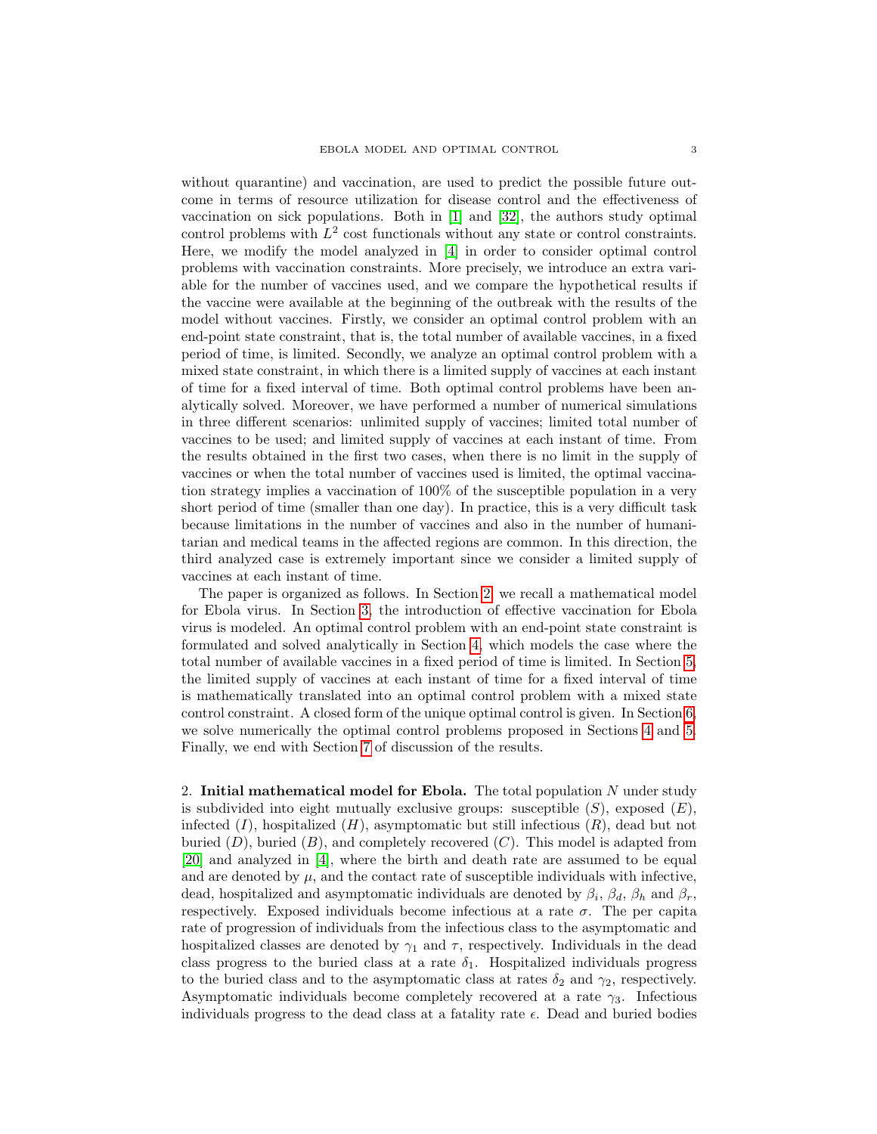without quarantine) and vaccination, are used to predict the possible future outcome in terms of resource utilization for disease control and the effectiveness of vaccination on sick populations. Both in [\[1\]](#page-18-14) and [\[32\]](#page-19-3), the authors study optimal control problems with  $L^2$  cost functionals without any state or control constraints. Here, we modify the model analyzed in [\[4\]](#page-18-8) in order to consider optimal control problems with vaccination constraints. More precisely, we introduce an extra variable for the number of vaccines used, and we compare the hypothetical results if the vaccine were available at the beginning of the outbreak with the results of the model without vaccines. Firstly, we consider an optimal control problem with an end-point state constraint, that is, the total number of available vaccines, in a fixed period of time, is limited. Secondly, we analyze an optimal control problem with a mixed state constraint, in which there is a limited supply of vaccines at each instant of time for a fixed interval of time. Both optimal control problems have been analytically solved. Moreover, we have performed a number of numerical simulations in three different scenarios: unlimited supply of vaccines; limited total number of vaccines to be used; and limited supply of vaccines at each instant of time. From the results obtained in the first two cases, when there is no limit in the supply of vaccines or when the total number of vaccines used is limited, the optimal vaccination strategy implies a vaccination of 100% of the susceptible population in a very short period of time (smaller than one day). In practice, this is a very difficult task because limitations in the number of vaccines and also in the number of humanitarian and medical teams in the affected regions are common. In this direction, the third analyzed case is extremely important since we consider a limited supply of vaccines at each instant of time.

The paper is organized as follows. In Section [2,](#page-2-0) we recall a mathematical model for Ebola virus. In Section [3,](#page-4-0) the introduction of effective vaccination for Ebola virus is modeled. An optimal control problem with an end-point state constraint is formulated and solved analytically in Section [4,](#page-6-0) which models the case where the total number of available vaccines in a fixed period of time is limited. In Section [5,](#page-8-0) the limited supply of vaccines at each instant of time for a fixed interval of time is mathematically translated into an optimal control problem with a mixed state control constraint. A closed form of the unique optimal control is given. In Section [6,](#page-10-0) we solve numerically the optimal control problems proposed in Sections [4](#page-6-0) and [5.](#page-8-0) Finally, we end with Section [7](#page-16-0) of discussion of the results.

<span id="page-2-0"></span>2. Initial mathematical model for Ebola. The total population  $N$  under study is subdivided into eight mutually exclusive groups: susceptible  $(S)$ , exposed  $(E)$ , infected  $(I)$ , hospitalized  $(H)$ , asymptomatic but still infectious  $(R)$ , dead but not buried  $(D)$ , buried  $(B)$ , and completely recovered  $(C)$ . This model is adapted from [\[20\]](#page-18-15) and analyzed in [\[4\]](#page-18-8), where the birth and death rate are assumed to be equal and are denoted by  $\mu$ , and the contact rate of susceptible individuals with infective, dead, hospitalized and asymptomatic individuals are denoted by  $\beta_i$ ,  $\beta_d$ ,  $\beta_h$  and  $\beta_r$ , respectively. Exposed individuals become infectious at a rate  $\sigma$ . The per capita rate of progression of individuals from the infectious class to the asymptomatic and hospitalized classes are denoted by  $\gamma_1$  and  $\tau$ , respectively. Individuals in the dead class progress to the buried class at a rate  $\delta_1$ . Hospitalized individuals progress to the buried class and to the asymptomatic class at rates  $\delta_2$  and  $\gamma_2$ , respectively. Asymptomatic individuals become completely recovered at a rate  $\gamma_3$ . Infectious individuals progress to the dead class at a fatality rate  $\epsilon$ . Dead and buried bodies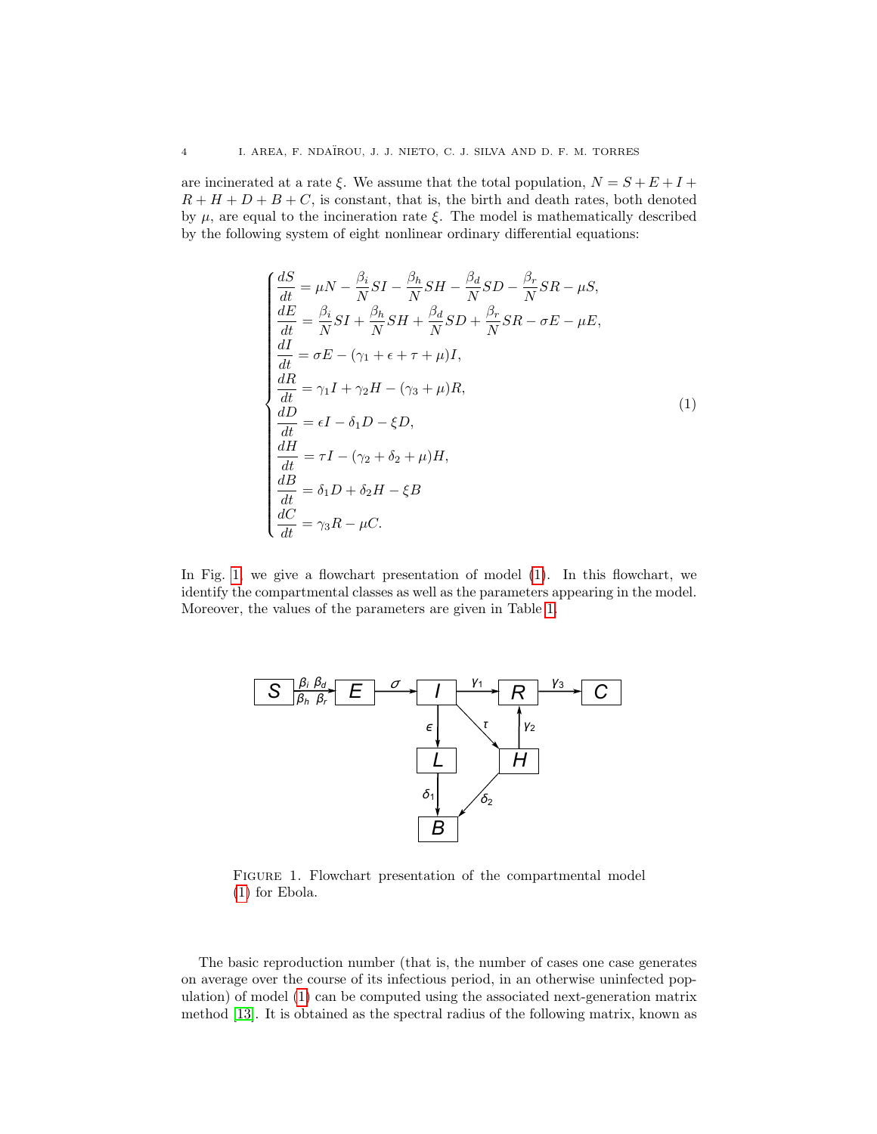are incinerated at a rate  $\xi$ . We assume that the total population,  $N = S + E + I + I$  $R + H + D + B + C$ , is constant, that is, the birth and death rates, both denoted by  $\mu$ , are equal to the incineration rate  $\xi$ . The model is mathematically described by the following system of eight nonlinear ordinary differential equations:

<span id="page-3-1"></span>
$$
\begin{cases}\n\frac{dS}{dt} = \mu N - \frac{\beta_i}{N} SI - \frac{\beta_h}{N} SH - \frac{\beta_d}{N} SD - \frac{\beta_r}{N} SR - \mu S, \\
\frac{dE}{dt} = \frac{\beta_i}{N} SI + \frac{\beta_h}{N} SH + \frac{\beta_d}{N} SD + \frac{\beta_r}{N} SR - \sigma E - \mu E, \\
\frac{dI}{dt} = \sigma E - (\gamma_1 + \epsilon + \tau + \mu) I, \\
\frac{dR}{dt} = \gamma_1 I + \gamma_2 H - (\gamma_3 + \mu) R, \\
\frac{dD}{dt} = \epsilon I - \delta_1 D - \xi D, \\
\frac{dH}{dt} = \tau I - (\gamma_2 + \delta_2 + \mu) H, \\
\frac{dB}{dt} = \delta_1 D + \delta_2 H - \xi B \\
\frac{dC}{dt} = \gamma_3 R - \mu C.\n\end{cases}
$$
\n(1)

In Fig. [1,](#page-3-0) we give a flowchart presentation of model [\(1\)](#page-3-1). In this flowchart, we identify the compartmental classes as well as the parameters appearing in the model. Moreover, the values of the parameters are given in Table [1.](#page-5-0)

<span id="page-3-0"></span>

FIGURE 1. Flowchart presentation of the compartmental model [\(1\)](#page-3-1) for Ebola.

The basic reproduction number (that is, the number of cases one case generates on average over the course of its infectious period, in an otherwise uninfected population) of model [\(1\)](#page-3-1) can be computed using the associated next-generation matrix method [\[13\]](#page-18-16). It is obtained as the spectral radius of the following matrix, known as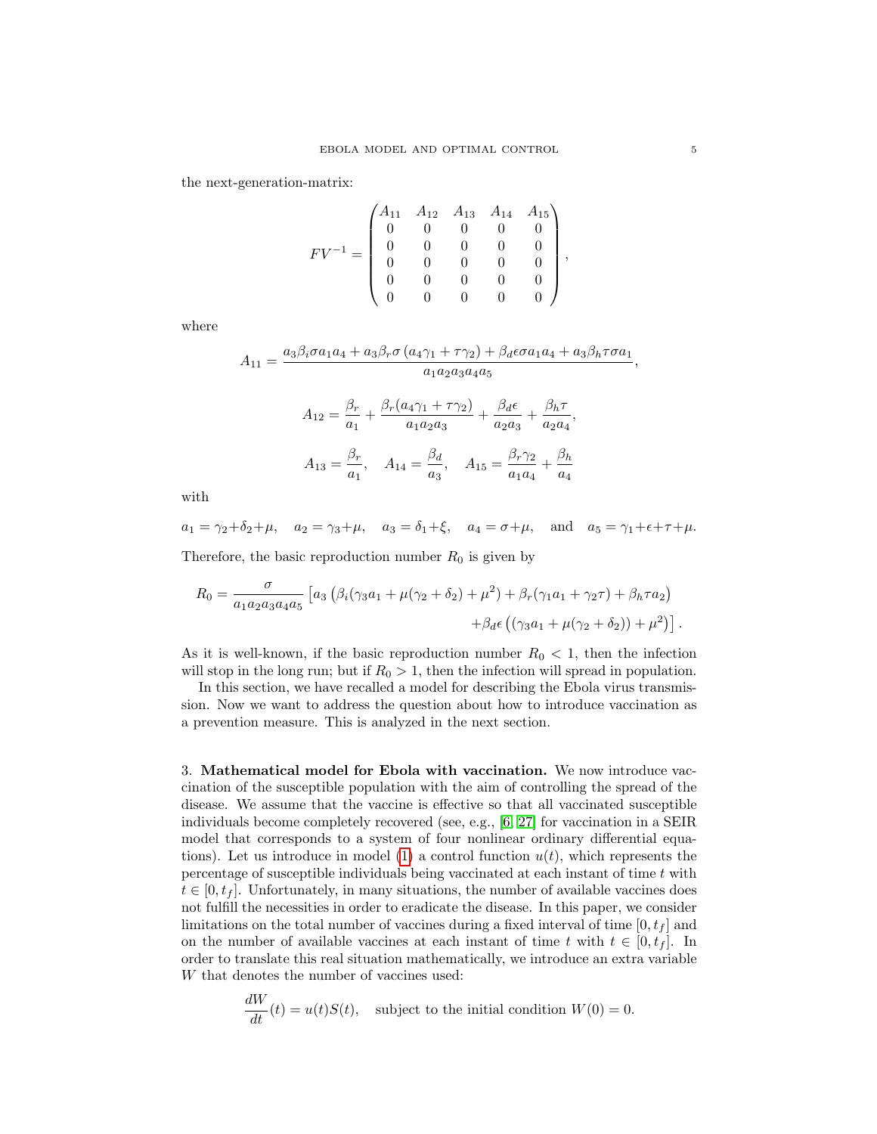the next-generation-matrix:

$$
FV^{-1} = \begin{pmatrix} A_{11} & A_{12} & A_{13} & A_{14} & A_{15} \\ 0 & 0 & 0 & 0 & 0 \\ 0 & 0 & 0 & 0 & 0 \\ 0 & 0 & 0 & 0 & 0 \\ 0 & 0 & 0 & 0 & 0 \\ 0 & 0 & 0 & 0 & 0 \end{pmatrix},
$$

where

$$
A_{11} = \frac{a_3 \beta_i \sigma a_1 a_4 + a_3 \beta_r \sigma (a_4 \gamma_1 + \tau \gamma_2) + \beta_d \epsilon \sigma a_1 a_4 + a_3 \beta_h \tau \sigma a_1}{a_1 a_2 a_3 a_4 a_5},
$$
  

$$
A_{12} = \frac{\beta_r}{a_1} + \frac{\beta_r (a_4 \gamma_1 + \tau \gamma_2)}{a_1 a_2 a_3} + \frac{\beta_d \epsilon}{a_2 a_3} + \frac{\beta_h \tau}{a_2 a_4},
$$
  

$$
A_{13} = \frac{\beta_r}{a_1}, \quad A_{14} = \frac{\beta_d}{a_3}, \quad A_{15} = \frac{\beta_r \gamma_2}{a_1 a_4} + \frac{\beta_h}{a_4}
$$

with

 $a_1 = \gamma_2 + \delta_2 + \mu$ ,  $a_2 = \gamma_3 + \mu$ ,  $a_3 = \delta_1 + \xi$ ,  $a_4 = \sigma + \mu$ , and  $a_5 = \gamma_1 + \epsilon + \tau + \mu$ . Therefore, the basic reproduction number  $R_0$  is given by

$$
R_0 = \frac{\sigma}{a_1 a_2 a_3 a_4 a_5} \left[ a_3 \left( \beta_i (\gamma_3 a_1 + \mu (\gamma_2 + \delta_2) + \mu^2) + \beta_r (\gamma_1 a_1 + \gamma_2 \tau) + \beta_h \tau a_2 \right) \right. \\ \left. + \beta_d \epsilon \left( (\gamma_3 a_1 + \mu (\gamma_2 + \delta_2)) + \mu^2 \right) \right].
$$

As it is well-known, if the basic reproduction number  $R_0 < 1$ , then the infection will stop in the long run; but if  $R_0 > 1$ , then the infection will spread in population.

In this section, we have recalled a model for describing the Ebola virus transmission. Now we want to address the question about how to introduce vaccination as a prevention measure. This is analyzed in the next section.

<span id="page-4-0"></span>3. Mathematical model for Ebola with vaccination. We now introduce vaccination of the susceptible population with the aim of controlling the spread of the disease. We assume that the vaccine is effective so that all vaccinated susceptible individuals become completely recovered (see, e.g., [\[6,](#page-18-17) [27\]](#page-19-9) for vaccination in a SEIR model that corresponds to a system of four nonlinear ordinary differential equa-tions). Let us introduce in model [\(1\)](#page-3-1) a control function  $u(t)$ , which represents the percentage of susceptible individuals being vaccinated at each instant of time  $t$  with  $t \in [0, t<sub>f</sub>]$ . Unfortunately, in many situations, the number of available vaccines does not fulfill the necessities in order to eradicate the disease. In this paper, we consider limitations on the total number of vaccines during a fixed interval of time  $[0, t<sub>f</sub>]$  and on the number of available vaccines at each instant of time t with  $t \in [0, t_f]$ . In order to translate this real situation mathematically, we introduce an extra variable W that denotes the number of vaccines used:

$$
\frac{dW}{dt}(t) = u(t)S(t),
$$
 subject to the initial condition  $W(0) = 0.$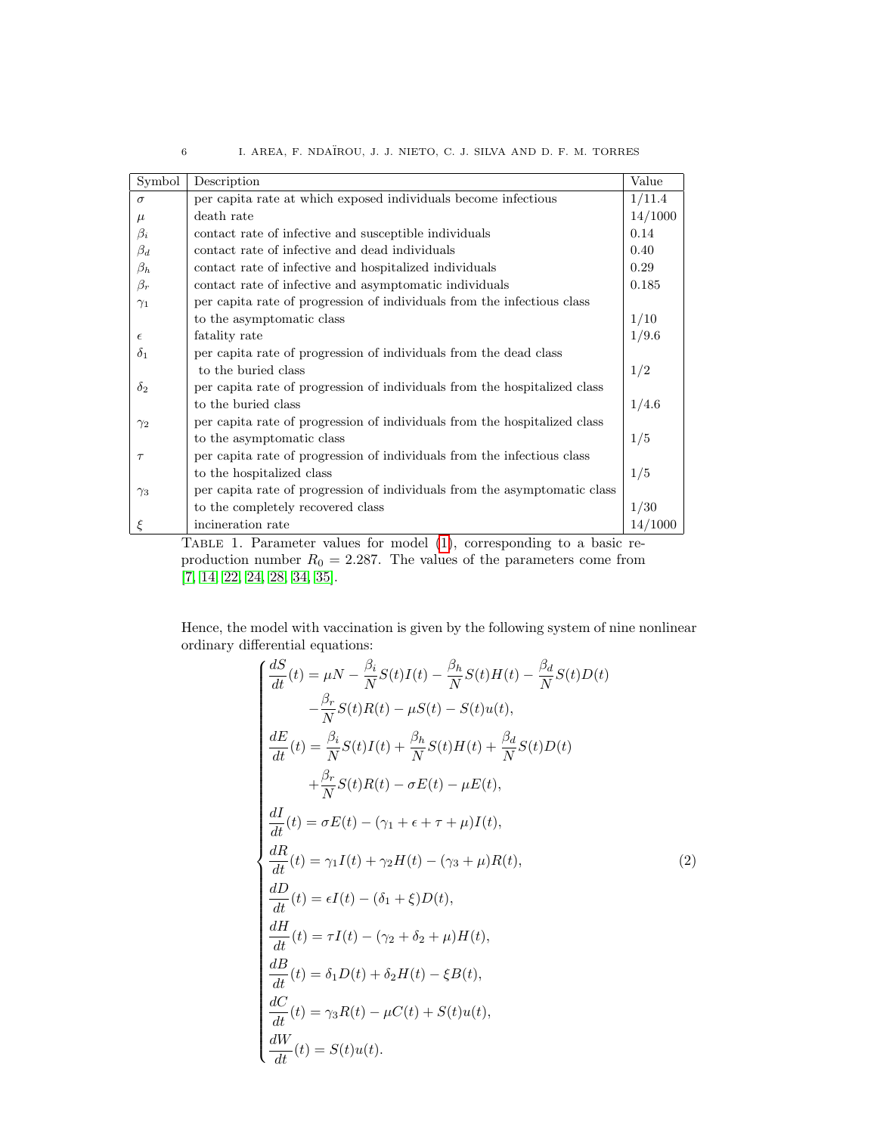| Symbol     | Description                                                                | Value   |
|------------|----------------------------------------------------------------------------|---------|
| $\sigma$   | per capita rate at which exposed individuals become infectious             | 1/11.4  |
| $\mu$      | death rate                                                                 | 14/1000 |
| $\beta_i$  | contact rate of infective and susceptible individuals                      | 0.14    |
| $\beta_d$  | contact rate of infective and dead individuals                             | 0.40    |
| $\beta_h$  | contact rate of infective and hospitalized individuals                     | 0.29    |
| $\beta_r$  | contact rate of infective and asymptomatic individuals                     | 0.185   |
| $\gamma_1$ | per capita rate of progression of individuals from the infectious class    |         |
|            | to the asymptomatic class                                                  | 1/10    |
| $\epsilon$ | fatality rate                                                              | 1/9.6   |
| $\delta_1$ | per capita rate of progression of individuals from the dead class          |         |
|            | to the buried class                                                        | 1/2     |
| $\delta_2$ | per capital rate of progression of individuals from the hospitalized class |         |
|            | to the buried class                                                        | 1/4.6   |
| $\gamma_2$ | per capita rate of progression of individuals from the hospitalized class  |         |
|            | to the asymptomatic class                                                  | 1/5     |
| $\tau$     | per capita rate of progression of individuals from the infectious class    |         |
|            | to the hospitalized class                                                  | 1/5     |
| $\gamma_3$ | per capita rate of progression of individuals from the asymptomatic class  |         |
|            | to the completely recovered class                                          | 1/30    |
|            | incineration rate                                                          | 14/1000 |

6 I. AREA, F. NDA¨IROU, J. J. NIETO, C. J. SILVA AND D. F. M. TORRES

Table 1. Parameter values for model [\(1\)](#page-3-1), corresponding to a basic reproduction number  $R_0 = 2.287$ . The values of the parameters come from [\[7,](#page-18-18) [14,](#page-18-19) [22,](#page-18-20) [24,](#page-18-4) [28,](#page-19-10) [34,](#page-19-1) [35\]](#page-19-11).

Hence, the model with vaccination is given by the following system of nine nonlinear ordinary differential equations:

<span id="page-5-1"></span>
$$
\begin{cases}\n\frac{dS}{dt}(t) = \mu N - \frac{\beta_i}{N} S(t)I(t) - \frac{\beta_h}{N} S(t)H(t) - \frac{\beta_d}{N} S(t)D(t) \\
-\frac{\beta_r}{N} S(t)R(t) - \mu S(t) - S(t)u(t), \\
\frac{dE}{dt}(t) = \frac{\beta_i}{N} S(t)I(t) + \frac{\beta_h}{N} S(t)H(t) + \frac{\beta_d}{N} S(t)D(t) \\
+\frac{\beta_r}{N} S(t)R(t) - \sigma E(t) - \mu E(t), \\
\frac{dI}{dt}(t) = \sigma E(t) - (\gamma_1 + \epsilon + \tau + \mu)I(t), \\
\frac{dR}{dt}(t) = \gamma_1 I(t) + \gamma_2 H(t) - (\gamma_3 + \mu)R(t), \\
\frac{dD}{dt}(t) = \epsilon I(t) - (\delta_1 + \xi)D(t), \\
\frac{dH}{dt}(t) = \tau I(t) - (\gamma_2 + \delta_2 + \mu)H(t), \\
\frac{dB}{dt}(t) = \delta_1 D(t) + \delta_2 H(t) - \xi B(t), \\
\frac{dC}{dt}(t) = \gamma_3 R(t) - \mu C(t) + S(t)u(t), \\
\frac{dW}{dt}(t) = S(t)u(t).\n\end{cases}
$$
\n(2)

<span id="page-5-0"></span>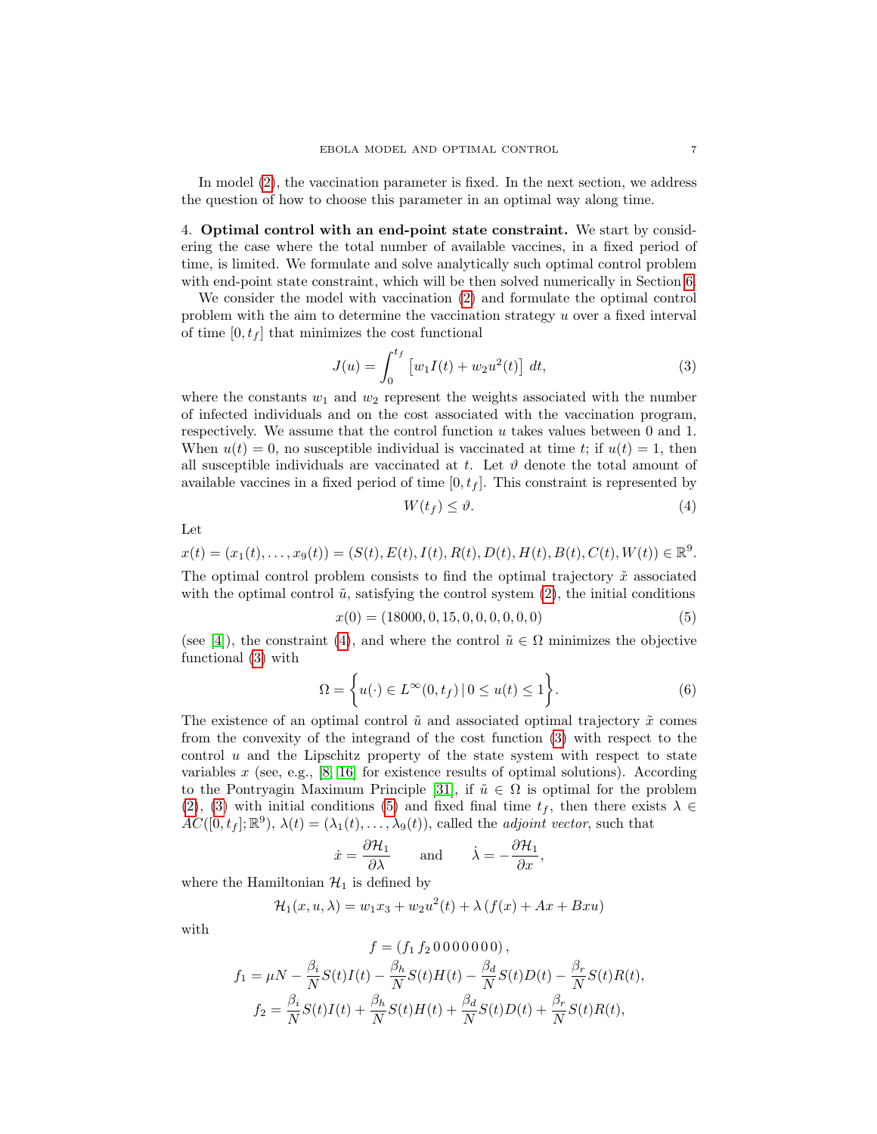In model [\(2\)](#page-5-1), the vaccination parameter is fixed. In the next section, we address the question of how to choose this parameter in an optimal way along time.

<span id="page-6-0"></span>4. Optimal control with an end-point state constraint. We start by considering the case where the total number of available vaccines, in a fixed period of time, is limited. We formulate and solve analytically such optimal control problem with end-point state constraint, which will be then solved numerically in Section [6.](#page-10-0)

We consider the model with vaccination [\(2\)](#page-5-1) and formulate the optimal control problem with the aim to determine the vaccination strategy u over a fixed interval of time  $[0, t_f]$  that minimizes the cost functional

<span id="page-6-2"></span>
$$
J(u) = \int_0^{t_f} \left[ w_1 I(t) + w_2 u^2(t) \right] dt,
$$
 (3)

where the constants  $w_1$  and  $w_2$  represent the weights associated with the number of infected individuals and on the cost associated with the vaccination program, respectively. We assume that the control function  $u$  takes values between 0 and 1. When  $u(t) = 0$ , no susceptible individual is vaccinated at time t; if  $u(t) = 1$ , then all susceptible individuals are vaccinated at t. Let  $\vartheta$  denote the total amount of available vaccines in a fixed period of time  $[0, t<sub>f</sub>]$ . This constraint is represented by

<span id="page-6-1"></span>
$$
W(t_f) \leq \vartheta. \tag{4}
$$

$$
_{\rm Let}
$$

$$
x(t) = (x_1(t), \dots, x_9(t)) = (S(t), E(t), I(t), R(t), D(t), H(t), B(t), C(t), W(t)) \in \mathbb{R}^9.
$$

The optimal control problem consists to find the optimal trajectory  $\tilde{x}$  associated with the optimal control  $\tilde{u}$ , satisfying the control system [\(2\)](#page-5-1), the initial conditions

<span id="page-6-3"></span>
$$
x(0) = (18000, 0, 15, 0, 0, 0, 0, 0, 0)
$$
\n
$$
(5)
$$

(see [\[4\]](#page-18-8)), the constraint [\(4\)](#page-6-1), and where the control  $\tilde{u} \in \Omega$  minimizes the objective functional [\(3\)](#page-6-2) with

<span id="page-6-4"></span>
$$
\Omega = \left\{ u(\cdot) \in L^{\infty}(0, t_f) \, | \, 0 \le u(t) \le 1 \right\}.
$$
\n
$$
(6)
$$

The existence of an optimal control  $\tilde{u}$  and associated optimal trajectory  $\tilde{x}$  comes from the convexity of the integrand of the cost function [\(3\)](#page-6-2) with respect to the control  $u$  and the Lipschitz property of the state system with respect to state variables  $x$  (see, e.g., [\[8,](#page-18-21) [16\]](#page-18-22) for existence results of optimal solutions). According to the Pontryagin Maximum Principle [\[31\]](#page-19-6), if  $\tilde{u} \in \Omega$  is optimal for the problem [\(2\)](#page-5-1), [\(3\)](#page-6-2) with initial conditions [\(5\)](#page-6-3) and fixed final time  $t_f$ , then there exists  $\lambda \in$  $AC([0, t<sub>f</sub>]; \mathbb{R}^{9}), \lambda(t) = (\lambda_1(t), \ldots, \lambda_9(t)),$  called the *adjoint vector*, such that

$$
\dot{x} = \frac{\partial \mathcal{H}_1}{\partial \lambda}
$$
 and  $\dot{\lambda} = -\frac{\partial \mathcal{H}_1}{\partial x}$ ,

where the Hamiltonian  $\mathcal{H}_1$  is defined by

$$
\mathcal{H}_1(x, u, \lambda) = w_1 x_3 + w_2 u^2(t) + \lambda (f(x) + Ax + Bxu)
$$

 $(f f 0 0 0 0 0 0 0)$ 

with

$$
f_1 = \mu N - \frac{\beta_i}{N} S(t)I(t) - \frac{\beta_h}{N} S(t)H(t) - \frac{\beta_d}{N} S(t)D(t) - \frac{\beta_r}{N} S(t)R(t),
$$
  

$$
f_2 = \frac{\beta_i}{N} S(t)I(t) + \frac{\beta_h}{N} S(t)H(t) + \frac{\beta_d}{N} S(t)D(t) + \frac{\beta_r}{N} S(t)R(t),
$$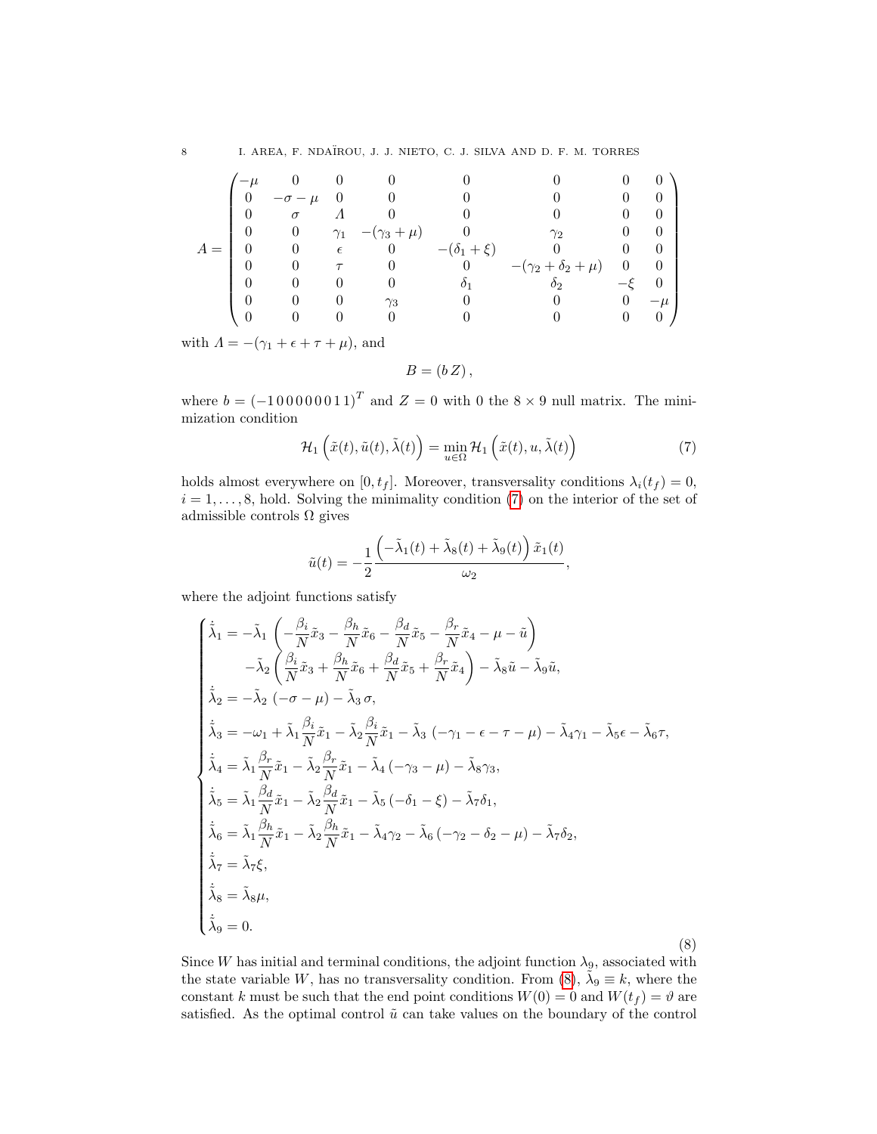|   | $-\mu$   |            |                     |                   |                            |  |
|---|----------|------------|---------------------|-------------------|----------------------------|--|
|   | $\sigma$ |            |                     |                   |                            |  |
|   | $\theta$ | $\gamma_1$ | $-(\gamma_3 + \mu)$ |                   | $\gamma_{2}$               |  |
| А | U        | $\epsilon$ | $\theta$            | $-(\delta_1+\xi)$ |                            |  |
|   |          |            |                     |                   | $-(\gamma_2+\delta_2+\mu)$ |  |
|   |          |            |                     |                   |                            |  |
|   |          |            | $\gamma_3$          |                   |                            |  |
|   |          |            |                     |                   |                            |  |

with  $\Lambda = -(\gamma_1 + \epsilon + \tau + \mu)$ , and

 $B = (b Z),$ 

where  $b = (-100000011)^T$  and  $Z = 0$  with 0 the  $8 \times 9$  null matrix. The minimization condition

<span id="page-7-0"></span>
$$
\mathcal{H}_1\left(\tilde{x}(t),\tilde{u}(t),\tilde{\lambda}(t)\right) = \min_{u \in \Omega} \mathcal{H}_1\left(\tilde{x}(t),u,\tilde{\lambda}(t)\right) \tag{7}
$$

holds almost everywhere on [0,  $t_f$ ]. Moreover, transversality conditions  $\lambda_i(t_f) = 0$ ,  $i = 1, \ldots, 8$ , hold. Solving the minimality condition [\(7\)](#page-7-0) on the interior of the set of admissible controls  $\Omega$  gives

$$
\tilde{u}(t) = -\frac{1}{2} \frac{\left(-\tilde{\lambda}_1(t) + \tilde{\lambda}_8(t) + \tilde{\lambda}_9(t)\right)\tilde{x}_1(t)}{\omega_2},
$$

where the adjoint functions satisfy

<span id="page-7-1"></span>
$$
\begin{cases}\n\dot{\tilde{\lambda}}_{1} = -\tilde{\lambda}_{1} \left( -\frac{\beta_{i}}{N} \tilde{x}_{3} - \frac{\beta_{h}}{N} \tilde{x}_{6} - \frac{\beta_{d}}{N} \tilde{x}_{5} - \frac{\beta_{r}}{N} \tilde{x}_{4} - \mu - \tilde{u} \right) \\
- \tilde{\lambda}_{2} \left( \frac{\beta_{i}}{N} \tilde{x}_{3} + \frac{\beta_{h}}{N} \tilde{x}_{6} + \frac{\beta_{d}}{N} \tilde{x}_{5} + \frac{\beta_{r}}{N} \tilde{x}_{4} \right) - \tilde{\lambda}_{8} \tilde{u} - \tilde{\lambda}_{9} \tilde{u}, \\
\dot{\tilde{\lambda}}_{2} = -\tilde{\lambda}_{2} \left( -\sigma - \mu \right) - \tilde{\lambda}_{3} \sigma, \\
\dot{\tilde{\lambda}}_{3} = -\omega_{1} + \tilde{\lambda}_{1} \frac{\beta_{i}}{N} \tilde{x}_{1} - \tilde{\lambda}_{2} \frac{\beta_{i}}{N} \tilde{x}_{1} - \tilde{\lambda}_{3} \left( -\gamma_{1} - \epsilon - \tau - \mu \right) - \tilde{\lambda}_{4} \gamma_{1} - \tilde{\lambda}_{5} \epsilon - \tilde{\lambda}_{6} \tau, \\
\dot{\tilde{\lambda}}_{4} = \tilde{\lambda}_{1} \frac{\beta_{r}}{N} \tilde{x}_{1} - \tilde{\lambda}_{2} \frac{\beta_{r}}{N} \tilde{x}_{1} - \tilde{\lambda}_{4} \left( -\gamma_{3} - \mu \right) - \tilde{\lambda}_{8} \gamma_{3}, \\
\dot{\tilde{\lambda}}_{5} = \tilde{\lambda}_{1} \frac{\beta_{d}}{N} \tilde{x}_{1} - \tilde{\lambda}_{2} \frac{\beta_{d}}{N} \tilde{x}_{1} - \tilde{\lambda}_{5} \left( -\delta_{1} - \xi \right) - \tilde{\lambda}_{7} \delta_{1}, \\
\dot{\tilde{\lambda}}_{6} = \tilde{\lambda}_{1} \frac{\beta_{h}}{N} \tilde{x}_{1} - \tilde{\lambda}_{2} \frac{\beta_{h}}{N} \tilde{x}_{1} - \tilde{\lambda}_{4} \gamma_{2} - \tilde{\lambda}_{6} \left( -\gamma_{2} - \delta_{2} - \mu \right) - \tilde{\lambda}_{7} \delta_{2}, \\
\dot{\tilde{\lambda}}_{7} = \tilde{\lambda
$$

Since W has initial and terminal conditions, the adjoint function  $\lambda_9$ , associated with the state variable W, has no transversality condition. From [\(8\)](#page-7-1),  $\tilde{\lambda}_9 \equiv k$ , where the constant k must be such that the end point conditions  $W(0) = 0$  and  $W(t_f) = \vartheta$  are satisfied. As the optimal control  $\tilde{u}$  can take values on the boundary of the control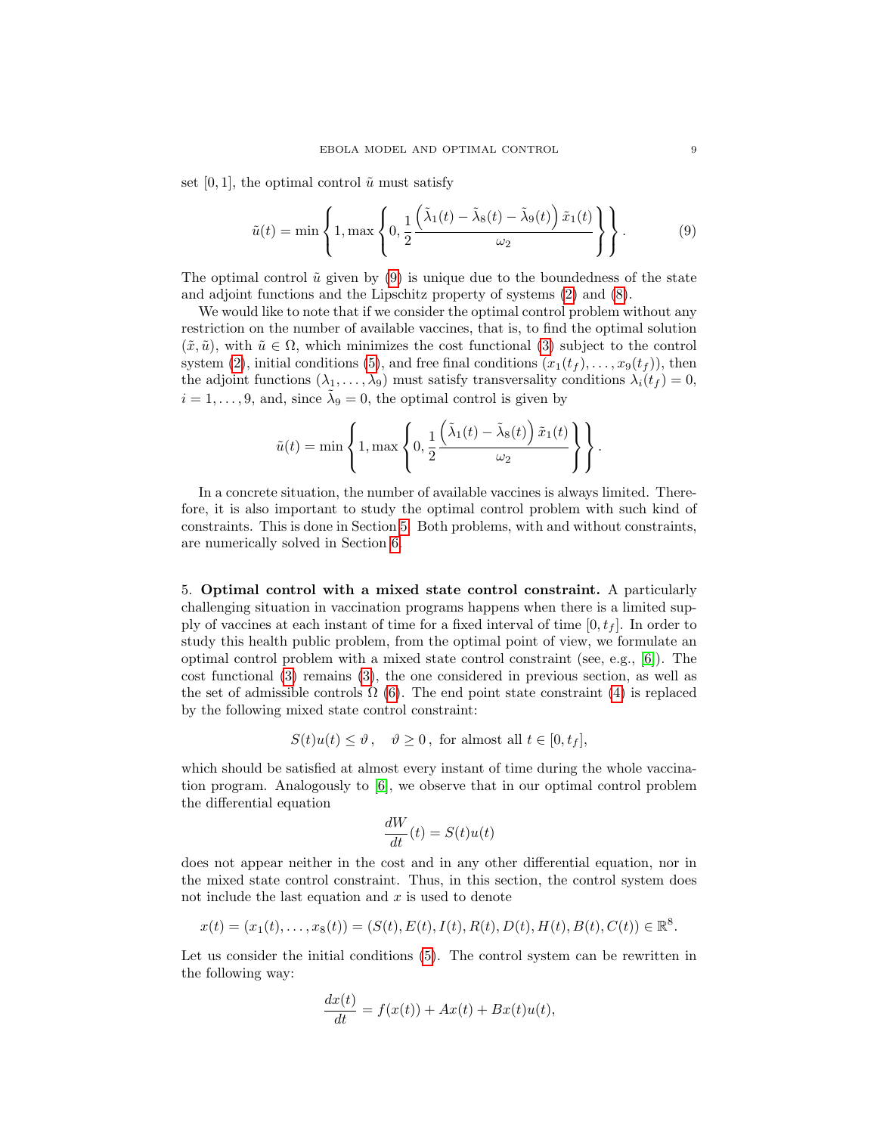set [0, 1], the optimal control  $\tilde{u}$  must satisfy

<span id="page-8-1"></span>
$$
\tilde{u}(t) = \min\left\{1, \max\left\{0, \frac{1}{2} \frac{\left(\tilde{\lambda}_1(t) - \tilde{\lambda}_8(t) - \tilde{\lambda}_9(t)\right)\tilde{x}_1(t)}{\omega_2}\right\}\right\}.
$$
\n(9)

The optimal control  $\tilde{u}$  given by [\(9\)](#page-8-1) is unique due to the boundedness of the state and adjoint functions and the Lipschitz property of systems [\(2\)](#page-5-1) and [\(8\)](#page-7-1).

We would like to note that if we consider the optimal control problem without any restriction on the number of available vaccines, that is, to find the optimal solution  $(\tilde{x}, \tilde{u})$ , with  $\tilde{u} \in \Omega$ , which minimizes the cost functional [\(3\)](#page-6-2) subject to the control system [\(2\)](#page-5-1), initial conditions [\(5\)](#page-6-3), and free final conditions  $(x_1(t_f), \ldots, x_9(t_f))$ , then the adjoint functions  $(\lambda_1, \ldots, \lambda_9)$  must satisfy transversality conditions  $\lambda_i(t_f) = 0$ ,  $i = 1, \ldots, 9$ , and, since  $\tilde{\lambda}_9 = 0$ , the optimal control is given by

$$
\tilde{u}(t) = \min \left\{ 1, \max \left\{ 0, \frac{1}{2} \frac{\left(\tilde{\lambda}_1(t) - \tilde{\lambda}_8(t)\right) \tilde{x}_1(t)}{\omega_2} \right\} \right\}.
$$

In a concrete situation, the number of available vaccines is always limited. Therefore, it is also important to study the optimal control problem with such kind of constraints. This is done in Section [5.](#page-8-0) Both problems, with and without constraints, are numerically solved in Section [6.](#page-10-0)

<span id="page-8-0"></span>5. Optimal control with a mixed state control constraint. A particularly challenging situation in vaccination programs happens when there is a limited supply of vaccines at each instant of time for a fixed interval of time  $[0, t<sub>f</sub>]$ . In order to study this health public problem, from the optimal point of view, we formulate an optimal control problem with a mixed state control constraint (see, e.g.,  $[6]$ ). The cost functional [\(3\)](#page-6-2) remains [\(3\)](#page-6-2), the one considered in previous section, as well as the set of admissible controls  $\Omega$  [\(6\)](#page-6-4). The end point state constraint [\(4\)](#page-6-1) is replaced by the following mixed state control constraint:

$$
S(t)u(t) \le \vartheta, \quad \vartheta \ge 0, \text{ for almost all } t \in [0, t_f],
$$

which should be satisfied at almost every instant of time during the whole vaccination program. Analogously to [\[6\]](#page-18-17), we observe that in our optimal control problem the differential equation

$$
\frac{dW}{dt}(t) = S(t)u(t)
$$

does not appear neither in the cost and in any other differential equation, nor in the mixed state control constraint. Thus, in this section, the control system does not include the last equation and  $x$  is used to denote

$$
x(t) = (x_1(t), \dots, x_8(t)) = (S(t), E(t), I(t), R(t), D(t), H(t), B(t), C(t)) \in \mathbb{R}^8.
$$

Let us consider the initial conditions  $(5)$ . The control system can be rewritten in the following way:

$$
\frac{dx(t)}{dt} = f(x(t)) + Ax(t) + Bx(t)u(t),
$$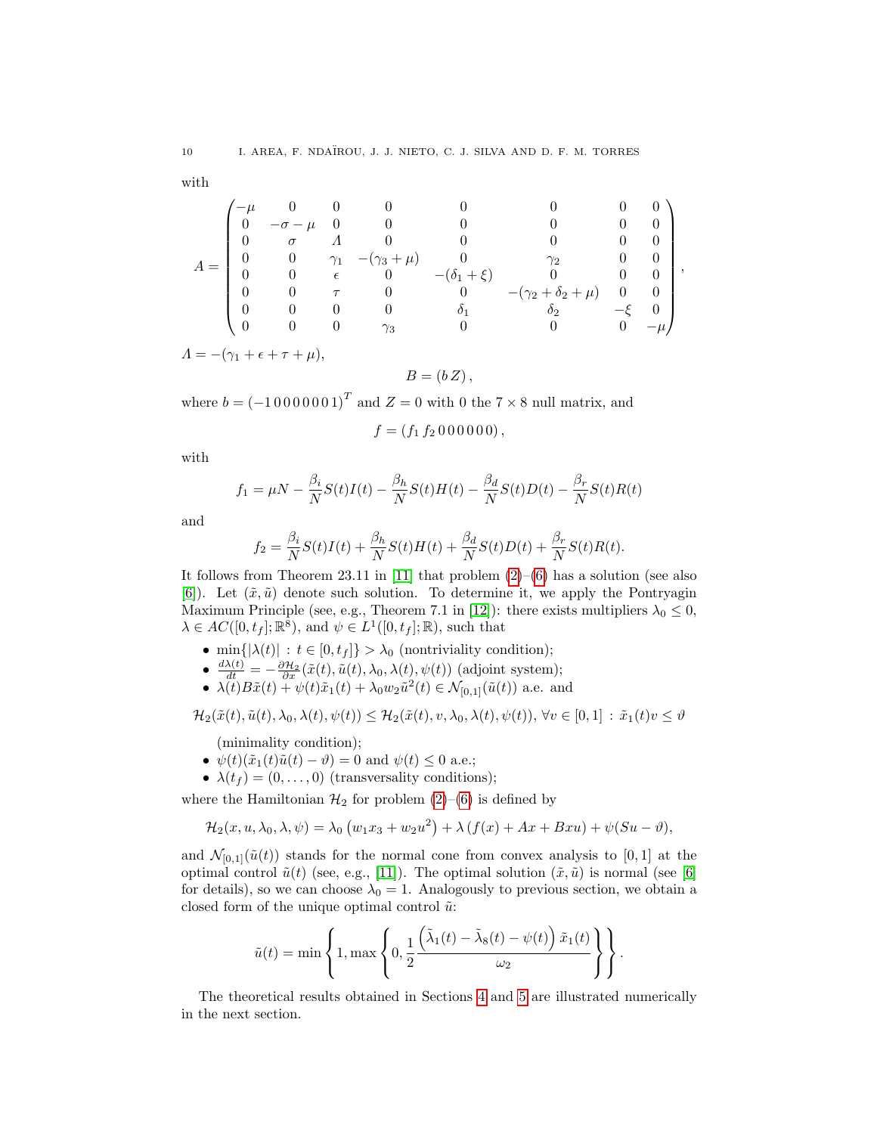with

$$
A = \begin{pmatrix} -\mu & 0 & 0 & 0 & 0 & 0 & 0 & 0 & 0 \\ 0 & -\sigma - \mu & 0 & 0 & 0 & 0 & 0 & 0 \\ 0 & \sigma & \Lambda & 0 & 0 & 0 & 0 & 0 \\ 0 & 0 & \gamma_1 & -(\gamma_3 + \mu) & 0 & \gamma_2 & 0 & 0 \\ 0 & 0 & \epsilon & 0 & -(\delta_1 + \xi) & 0 & 0 & 0 \\ 0 & 0 & \tau & 0 & 0 & -(\gamma_2 + \delta_2 + \mu) & 0 & 0 \\ 0 & 0 & 0 & 0 & \delta_1 & \delta_2 & -\xi & 0 \\ 0 & 0 & 0 & \gamma_3 & 0 & 0 & 0 & -\mu \end{pmatrix},
$$

 $\Lambda = -(\gamma_1 + \epsilon + \tau + \mu),$ 

 $B = (b Z),$ 

where  $b = (-10000001)^T$  and  $Z = 0$  with 0 the  $7 \times 8$  null matrix, and

$$
f = (f_1 f_2 0 0 0 0 0 0),
$$

with

$$
f_1 = \mu N - \frac{\beta_i}{N} S(t)I(t) - \frac{\beta_h}{N} S(t)H(t) - \frac{\beta_d}{N} S(t)D(t) - \frac{\beta_r}{N} S(t)R(t)
$$

and

$$
f_2 = \frac{\beta_i}{N} S(t)I(t) + \frac{\beta_h}{N} S(t)H(t) + \frac{\beta_d}{N} S(t)D(t) + \frac{\beta_r}{N} S(t)R(t).
$$

It follows from Theorem 23.11 in [\[11\]](#page-18-23) that problem  $(2)$ – $(6)$  has a solution (see also [\[6\]](#page-18-17)). Let  $(\tilde{x}, \tilde{u})$  denote such solution. To determine it, we apply the Pontryagin Maximum Principle (see, e.g., Theorem 7.1 in [\[12\]](#page-18-24)): there exists multipliers  $\lambda_0 \leq 0$ ,  $\lambda \in AC([0, t_f]; \mathbb{R}^8)$ , and  $\psi \in L^1([0, t_f]; \mathbb{R})$ , such that

- min $\{|\lambda(t)| : t \in [0, t_f]\} > \lambda_0$  (nontriviality condition);
- $\frac{d\lambda(t)}{dt} = -\frac{\partial \mathcal{H}_2}{\partial x}(\tilde{x}(t), \tilde{u}(t), \lambda_0, \lambda(t), \psi(t))$  (adjoint system);
- $\lambda(t)B\tilde{x}(t) + \psi(t)\tilde{x}_1(t) + \lambda_0 w_2 \tilde{u}^2(t) \in \mathcal{N}_{[0,1]}(\tilde{u}(t))$  a.e. and

 $\mathcal{H}_2(\tilde{x}(t), \tilde{u}(t), \lambda_0, \lambda(t), \psi(t)) \leq \mathcal{H}_2(\tilde{x}(t), v, \lambda_0, \lambda(t), \psi(t)), \forall v \in [0, 1] : \tilde{x}_1(t)v \leq \vartheta$ 

(minimality condition);

- $\psi(t)(\tilde{x}_1(t)\tilde{u}(t) \vartheta) = 0$  and  $\psi(t) \leq 0$  a.e.;
- $\lambda(t_f) = (0, \ldots, 0)$  (transversality conditions);

where the Hamiltonian  $\mathcal{H}_2$  for problem [\(2\)](#page-5-1)–[\(6\)](#page-6-4) is defined by

$$
\mathcal{H}_2(x, u, \lambda_0, \lambda, \psi) = \lambda_0 \left( w_1 x_3 + w_2 u^2 \right) + \lambda \left( f(x) + Ax + Bxu \right) + \psi(Su - \vartheta),
$$

and  $\mathcal{N}_{[0,1]}(\tilde{u}(t))$  stands for the normal cone from convex analysis to [0, 1] at the optimal control  $\tilde{u}(t)$  (see, e.g., [\[11\]](#page-18-23)). The optimal solution  $(\tilde{x}, \tilde{u})$  is normal (see [\[6\]](#page-18-17) for details), so we can choose  $\lambda_0 = 1$ . Analogously to previous section, we obtain a closed form of the unique optimal control  $\tilde{u}$ :

$$
\tilde{u}(t) = \min \left\{ 1, \max \left\{ 0, \frac{1}{2} \frac{\left(\tilde{\lambda}_1(t) - \tilde{\lambda}_8(t) - \psi(t)\right) \tilde{x}_1(t)}{\omega_2} \right\} \right\}.
$$

The theoretical results obtained in Sections [4](#page-6-0) and [5](#page-8-0) are illustrated numerically in the next section.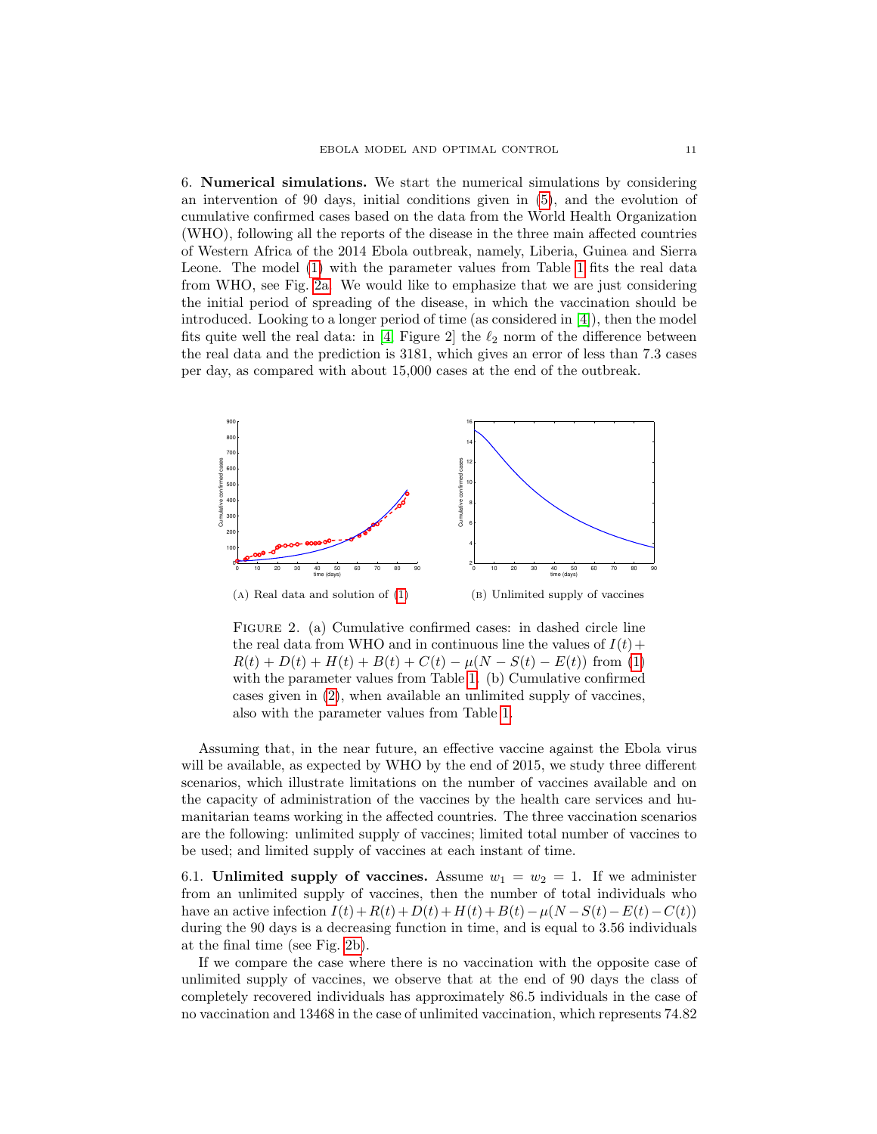<span id="page-10-0"></span>6. Numerical simulations. We start the numerical simulations by considering an intervention of 90 days, initial conditions given in [\(5\)](#page-6-3), and the evolution of cumulative confirmed cases based on the data from the World Health Organization (WHO), following all the reports of the disease in the three main affected countries of Western Africa of the 2014 Ebola outbreak, namely, Liberia, Guinea and Sierra Leone. The model [\(1\)](#page-3-1) with the parameter values from Table [1](#page-5-0) fits the real data from WHO, see Fig. [2a.](#page-10-1) We would like to emphasize that we are just considering the initial period of spreading of the disease, in which the vaccination should be introduced. Looking to a longer period of time (as considered in [\[4\]](#page-18-8)), then the model fits quite well the real data: in [\[4,](#page-18-8) Figure 2] the  $\ell_2$  norm of the difference between the real data and the prediction is 3181, which gives an error of less than 7.3 cases per day, as compared with about 15,000 cases at the end of the outbreak.

<span id="page-10-1"></span>

<span id="page-10-2"></span>Figure 2. (a) Cumulative confirmed cases: in dashed circle line the real data from WHO and in continuous line the values of  $I(t)$  +  $R(t) + D(t) + H(t) + B(t) + C(t) - \mu(N - S(t) - E(t))$  from [\(1\)](#page-3-1) with the parameter values from Table [1.](#page-5-0) (b) Cumulative confirmed cases given in [\(2\)](#page-5-1), when available an unlimited supply of vaccines, also with the parameter values from Table [1.](#page-5-0)

Assuming that, in the near future, an effective vaccine against the Ebola virus will be available, as expected by WHO by the end of 2015, we study three different scenarios, which illustrate limitations on the number of vaccines available and on the capacity of administration of the vaccines by the health care services and humanitarian teams working in the affected countries. The three vaccination scenarios are the following: unlimited supply of vaccines; limited total number of vaccines to be used; and limited supply of vaccines at each instant of time.

<span id="page-10-3"></span>6.1. Unlimited supply of vaccines. Assume  $w_1 = w_2 = 1$ . If we administer from an unlimited supply of vaccines, then the number of total individuals who have an active infection  $I(t)+R(t)+D(t)+H(t)+B(t)-\mu(N-S(t)-E(t)-C(t))$ during the 90 days is a decreasing function in time, and is equal to 3.56 individuals at the final time (see Fig. [2b\)](#page-10-2).

If we compare the case where there is no vaccination with the opposite case of unlimited supply of vaccines, we observe that at the end of 90 days the class of completely recovered individuals has approximately 86.5 individuals in the case of no vaccination and 13468 in the case of unlimited vaccination, which represents 74.82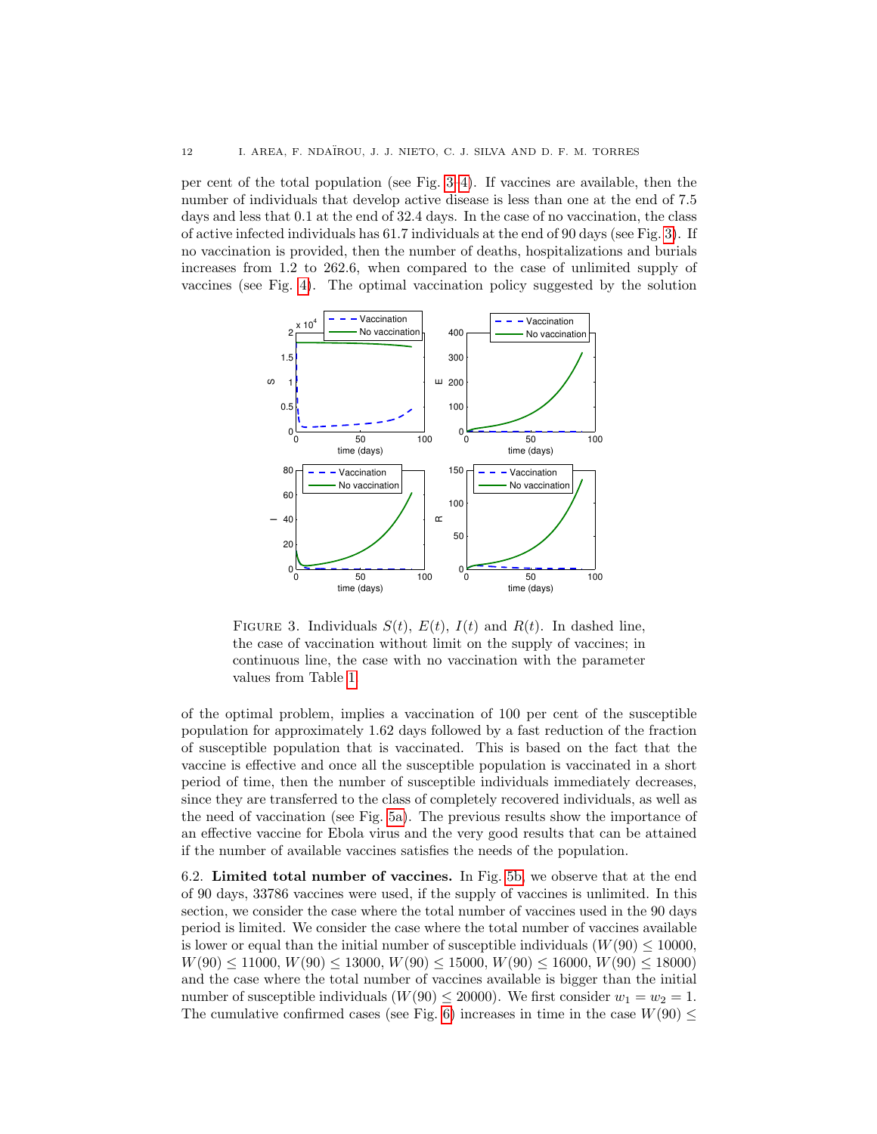per cent of the total population (see Fig. [3–](#page-11-0)[4\)](#page-12-0). If vaccines are available, then the number of individuals that develop active disease is less than one at the end of 7.5 days and less that  $0.1$  at the end of 32.4 days. In the case of no vaccination, the class of active infected individuals has 61.7 individuals at the end of 90 days (see Fig. [3\)](#page-11-0). If no vaccination is provided, then the number of deaths, hospitalizations and burials increases from 1.2 to 262.6, when compared to the case of unlimited supply of vaccines (see Fig. [4\)](#page-12-0). The optimal vaccination policy suggested by the solution

<span id="page-11-0"></span>

FIGURE 3. Individuals  $S(t)$ ,  $E(t)$ ,  $I(t)$  and  $R(t)$ . In dashed line, the case of vaccination without limit on the supply of vaccines; in continuous line, the case with no vaccination with the parameter values from Table [1.](#page-5-0)

of the optimal problem, implies a vaccination of 100 per cent of the susceptible population for approximately 1.62 days followed by a fast reduction of the fraction of susceptible population that is vaccinated. This is based on the fact that the vaccine is effective and once all the susceptible population is vaccinated in a short period of time, then the number of susceptible individuals immediately decreases, since they are transferred to the class of completely recovered individuals, as well as the need of vaccination (see Fig. [5a\)](#page-12-1). The previous results show the importance of an effective vaccine for Ebola virus and the very good results that can be attained if the number of available vaccines satisfies the needs of the population.

<span id="page-11-1"></span>6.2. Limited total number of vaccines. In Fig. [5b,](#page-12-2) we observe that at the end of 90 days, 33786 vaccines were used, if the supply of vaccines is unlimited. In this section, we consider the case where the total number of vaccines used in the 90 days period is limited. We consider the case where the total number of vaccines available is lower or equal than the initial number of susceptible individuals ( $W(90) \le 10000$ ,  $W(90) \le 11000, W(90) \le 13000, W(90) \le 15000, W(90) \le 16000, W(90) \le 18000$ and the case where the total number of vaccines available is bigger than the initial number of susceptible individuals ( $W(90) \le 20000$ ). We first consider  $w_1 = w_2 = 1$ . The cumulative confirmed cases (see Fig. [6\)](#page-13-0) increases in time in the case  $W(90) \leq$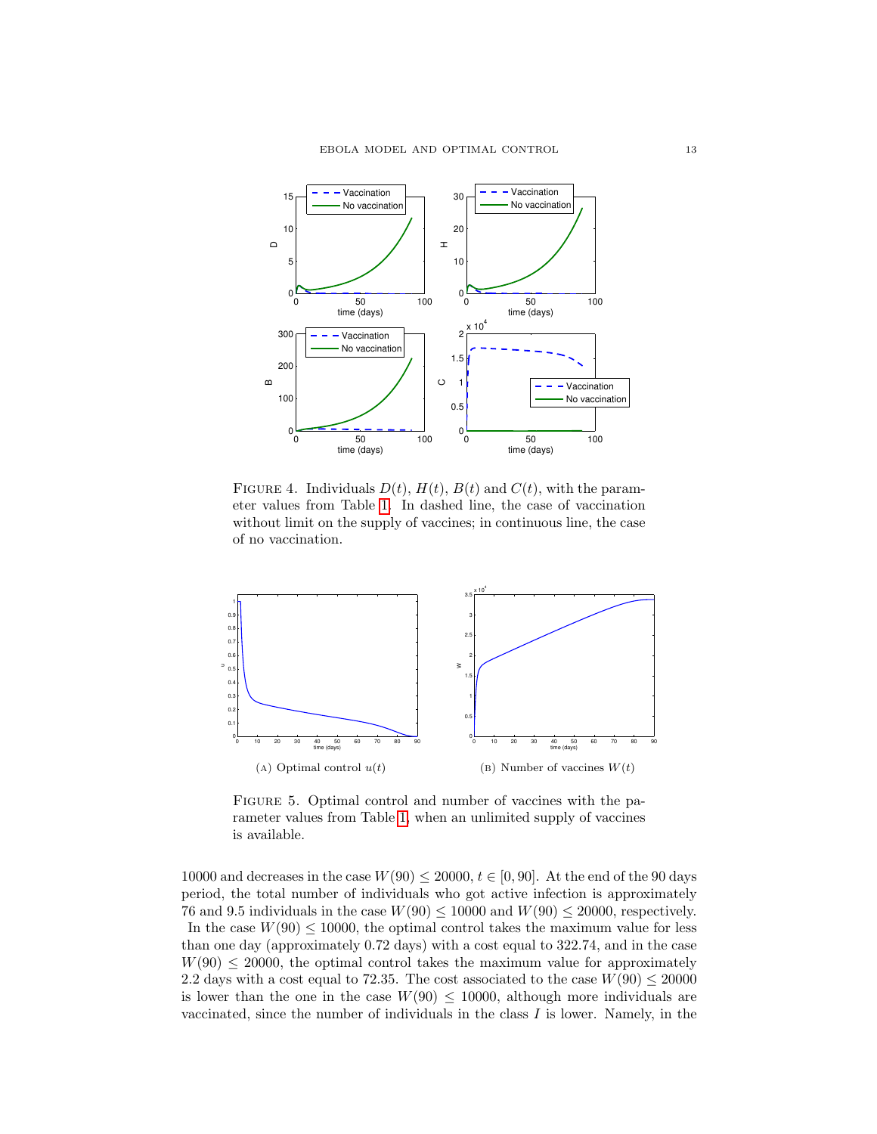<span id="page-12-0"></span>

FIGURE 4. Individuals  $D(t)$ ,  $H(t)$ ,  $B(t)$  and  $C(t)$ , with the parameter values from Table [1.](#page-5-0) In dashed line, the case of vaccination without limit on the supply of vaccines; in continuous line, the case of no vaccination.

<span id="page-12-3"></span><span id="page-12-1"></span>

<span id="page-12-2"></span>FIGURE 5. Optimal control and number of vaccines with the parameter values from Table [1,](#page-5-0) when an unlimited supply of vaccines is available.

10000 and decreases in the case  $W(90) \le 20000$ ,  $t \in [0, 90]$ . At the end of the 90 days period, the total number of individuals who got active infection is approximately 76 and 9.5 individuals in the case  $W(90) \le 10000$  and  $W(90) \le 20000$ , respectively. In the case  $W(90) \le 10000$ , the optimal control takes the maximum value for less than one day (approximately 0.72 days) with a cost equal to 322.74, and in the case  $W(90) \le 20000$ , the optimal control takes the maximum value for approximately 2.2 days with a cost equal to 72.35. The cost associated to the case  $W(90) \le 20000$ is lower than the one in the case  $W(90) \le 10000$ , although more individuals are vaccinated, since the number of individuals in the class  $I$  is lower. Namely, in the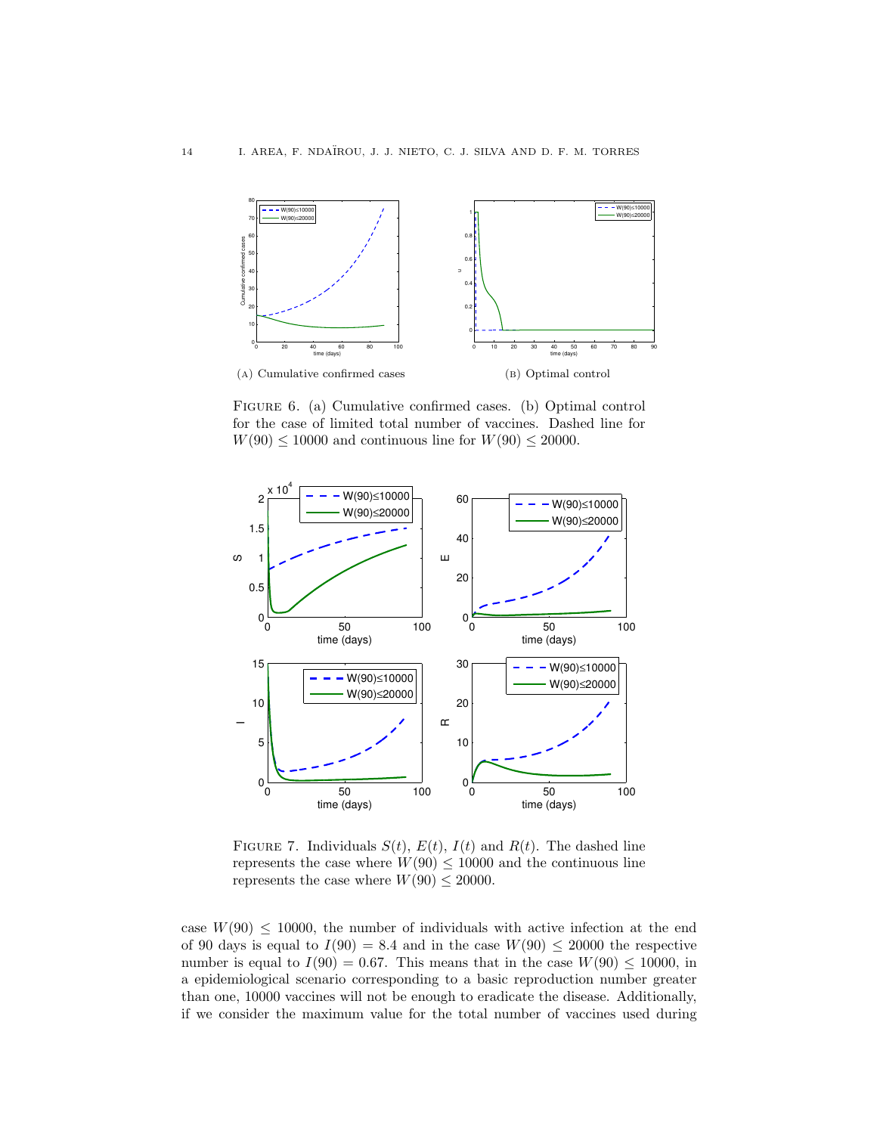<span id="page-13-0"></span>

Figure 6. (a) Cumulative confirmed cases. (b) Optimal control for the case of limited total number of vaccines. Dashed line for  $W(90) \le 10000$  and continuous line for  $W(90) \le 20000$ .



FIGURE 7. Individuals  $S(t)$ ,  $E(t)$ ,  $I(t)$  and  $R(t)$ . The dashed line represents the case where  $W(90) \le 10000$  and the continuous line represents the case where  $W(90) \le 20000$ .

case  $W(90) \le 10000$ , the number of individuals with active infection at the end of 90 days is equal to  $I(90) = 8.4$  and in the case  $W(90) \le 20000$  the respective number is equal to  $I(90) = 0.67$ . This means that in the case  $W(90) \le 10000$ , in a epidemiological scenario corresponding to a basic reproduction number greater than one, 10000 vaccines will not be enough to eradicate the disease. Additionally, if we consider the maximum value for the total number of vaccines used during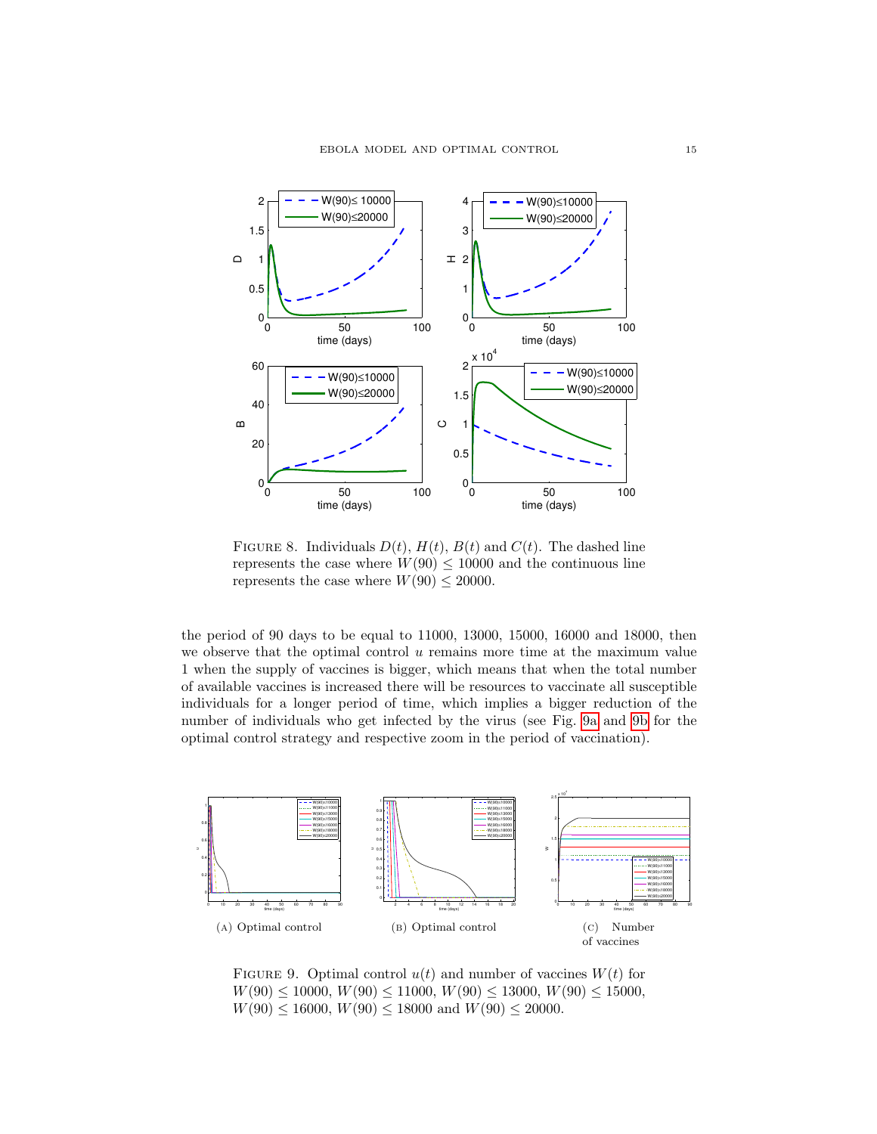

FIGURE 8. Individuals  $D(t)$ ,  $H(t)$ ,  $B(t)$  and  $C(t)$ . The dashed line represents the case where  $W(90) \le 10000$  and the continuous line represents the case where  $W(90) \le 20000$ .

the period of 90 days to be equal to 11000, 13000, 15000, 16000 and 18000, then we observe that the optimal control  $u$  remains more time at the maximum value 1 when the supply of vaccines is bigger, which means that when the total number of available vaccines is increased there will be resources to vaccinate all susceptible individuals for a longer period of time, which implies a bigger reduction of the number of individuals who get infected by the virus (see Fig. [9a](#page-14-0) and [9b](#page-14-1) for the optimal control strategy and respective zoom in the period of vaccination).

<span id="page-14-0"></span>

<span id="page-14-1"></span>FIGURE 9. Optimal control  $u(t)$  and number of vaccines  $W(t)$  for  $W(90) \le 10000, W(90) \le 11000, W(90) \le 13000, W(90) \le 15000,$  $W(90) \le 16000, W(90) \le 18000$  and  $W(90) \le 20000$ .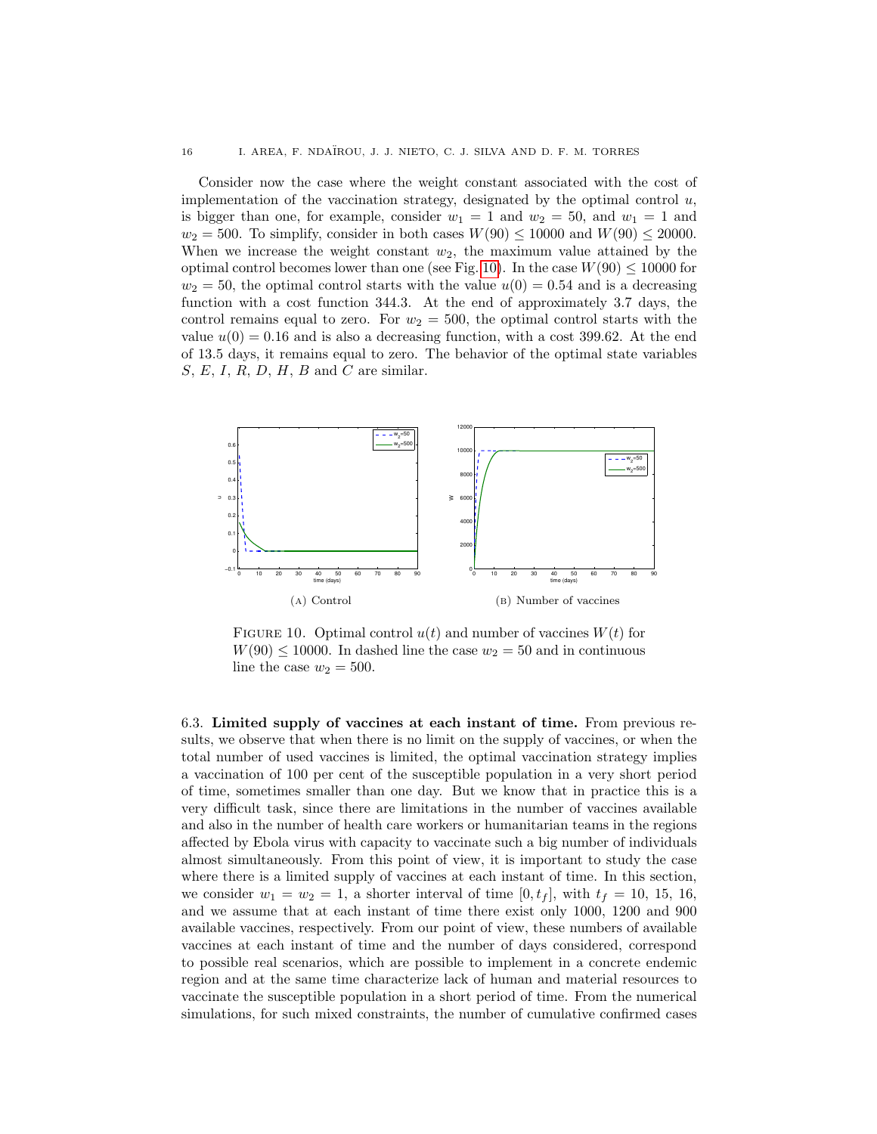Consider now the case where the weight constant associated with the cost of implementation of the vaccination strategy, designated by the optimal control  $u$ , is bigger than one, for example, consider  $w_1 = 1$  and  $w_2 = 50$ , and  $w_1 = 1$  and  $w_2 = 500$ . To simplify, consider in both cases  $W(90) \le 10000$  and  $W(90) \le 20000$ . When we increase the weight constant  $w_2$ , the maximum value attained by the optimal control becomes lower than one (see Fig. [10\)](#page-15-0). In the case  $W(90) \le 10000$  for  $w_2 = 50$ , the optimal control starts with the value  $u(0) = 0.54$  and is a decreasing function with a cost function 344.3. At the end of approximately 3.7 days, the control remains equal to zero. For  $w_2 = 500$ , the optimal control starts with the value  $u(0) = 0.16$  and is also a decreasing function, with a cost 399.62. At the end of 13.5 days, it remains equal to zero. The behavior of the optimal state variables  $S, E, I, R, D, H, B$  and C are similar.

<span id="page-15-0"></span>

FIGURE 10. Optimal control  $u(t)$  and number of vaccines  $W(t)$  for  $W(90) \le 10000$ . In dashed line the case  $w_2 = 50$  and in continuous line the case  $w_2 = 500$ .

<span id="page-15-1"></span>6.3. Limited supply of vaccines at each instant of time. From previous results, we observe that when there is no limit on the supply of vaccines, or when the total number of used vaccines is limited, the optimal vaccination strategy implies a vaccination of 100 per cent of the susceptible population in a very short period of time, sometimes smaller than one day. But we know that in practice this is a very difficult task, since there are limitations in the number of vaccines available and also in the number of health care workers or humanitarian teams in the regions affected by Ebola virus with capacity to vaccinate such a big number of individuals almost simultaneously. From this point of view, it is important to study the case where there is a limited supply of vaccines at each instant of time. In this section, we consider  $w_1 = w_2 = 1$ , a shorter interval of time  $[0, t_f]$ , with  $t_f = 10, 15, 16$ , and we assume that at each instant of time there exist only 1000, 1200 and 900 available vaccines, respectively. From our point of view, these numbers of available vaccines at each instant of time and the number of days considered, correspond to possible real scenarios, which are possible to implement in a concrete endemic region and at the same time characterize lack of human and material resources to vaccinate the susceptible population in a short period of time. From the numerical simulations, for such mixed constraints, the number of cumulative confirmed cases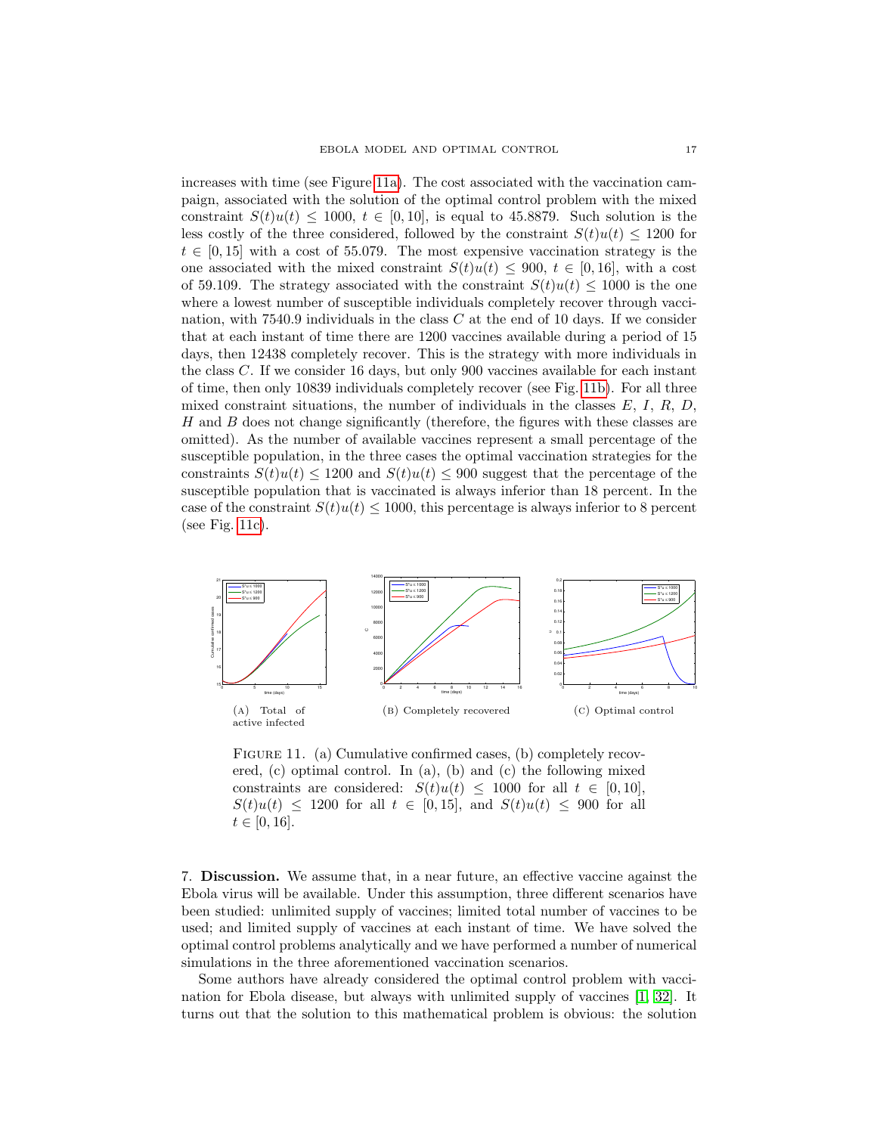increases with time (see Figure [11a\)](#page-16-1). The cost associated with the vaccination campaign, associated with the solution of the optimal control problem with the mixed constraint  $S(t)u(t) \le 1000$ ,  $t \in [0, 10]$ , is equal to 45.8879. Such solution is the less costly of the three considered, followed by the constraint  $S(t)u(t) \leq 1200$  for  $t \in [0, 15]$  with a cost of 55.079. The most expensive vaccination strategy is the one associated with the mixed constraint  $S(t)u(t) \le 900, t \in [0, 16]$ , with a cost of 59.109. The strategy associated with the constraint  $S(t)u(t) < 1000$  is the one where a lowest number of susceptible individuals completely recover through vaccination, with  $7540.9$  individuals in the class C at the end of 10 days. If we consider that at each instant of time there are 1200 vaccines available during a period of 15 days, then 12438 completely recover. This is the strategy with more individuals in the class C. If we consider 16 days, but only 900 vaccines available for each instant of time, then only 10839 individuals completely recover (see Fig. [11b\)](#page-16-2). For all three mixed constraint situations, the number of individuals in the classes  $E, I, R, D$ , H and B does not change significantly (therefore, the figures with these classes are omitted). As the number of available vaccines represent a small percentage of the susceptible population, in the three cases the optimal vaccination strategies for the constraints  $S(t)u(t) \le 1200$  and  $S(t)u(t) \le 900$  suggest that the percentage of the susceptible population that is vaccinated is always inferior than 18 percent. In the case of the constraint  $S(t)u(t) \leq 1000$ , this percentage is always inferior to 8 percent (see Fig. [11c\)](#page-16-3).

<span id="page-16-1"></span>

<span id="page-16-3"></span><span id="page-16-2"></span>FIGURE 11. (a) Cumulative confirmed cases, (b) completely recovered, (c) optimal control. In (a), (b) and (c) the following mixed constraints are considered:  $S(t)u(t) \leq 1000$  for all  $t \in [0, 10]$ ,  $S(t)u(t) \le 1200$  for all  $t \in [0, 15]$ , and  $S(t)u(t) \le 900$  for all  $t \in [0, 16].$ 

<span id="page-16-0"></span>7. Discussion. We assume that, in a near future, an effective vaccine against the Ebola virus will be available. Under this assumption, three different scenarios have been studied: unlimited supply of vaccines; limited total number of vaccines to be used; and limited supply of vaccines at each instant of time. We have solved the optimal control problems analytically and we have performed a number of numerical simulations in the three aforementioned vaccination scenarios.

Some authors have already considered the optimal control problem with vaccination for Ebola disease, but always with unlimited supply of vaccines [\[1,](#page-18-14) [32\]](#page-19-3). It turns out that the solution to this mathematical problem is obvious: the solution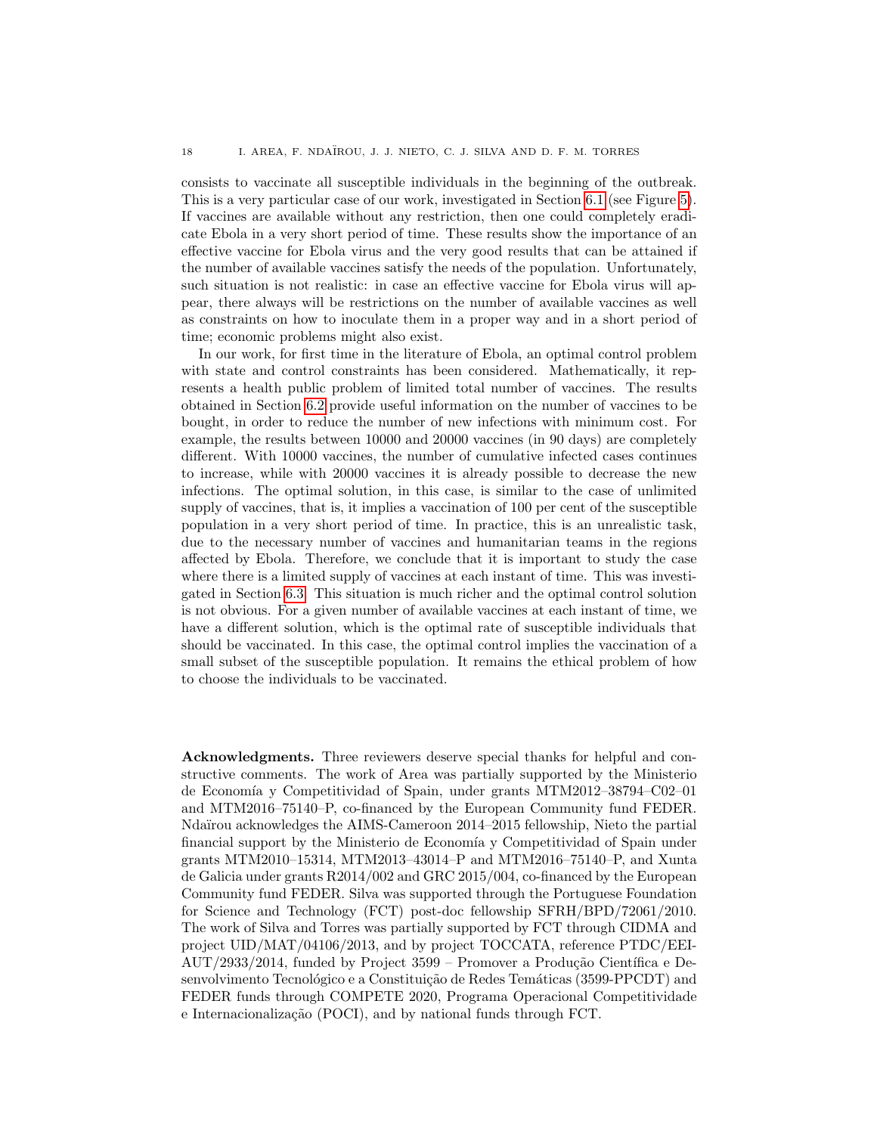consists to vaccinate all susceptible individuals in the beginning of the outbreak. This is a very particular case of our work, investigated in Section [6.1](#page-10-3) (see Figure [5\)](#page-12-3). If vaccines are available without any restriction, then one could completely eradicate Ebola in a very short period of time. These results show the importance of an effective vaccine for Ebola virus and the very good results that can be attained if the number of available vaccines satisfy the needs of the population. Unfortunately, such situation is not realistic: in case an effective vaccine for Ebola virus will appear, there always will be restrictions on the number of available vaccines as well as constraints on how to inoculate them in a proper way and in a short period of time; economic problems might also exist.

In our work, for first time in the literature of Ebola, an optimal control problem with state and control constraints has been considered. Mathematically, it represents a health public problem of limited total number of vaccines. The results obtained in Section [6.2](#page-11-1) provide useful information on the number of vaccines to be bought, in order to reduce the number of new infections with minimum cost. For example, the results between 10000 and 20000 vaccines (in 90 days) are completely different. With 10000 vaccines, the number of cumulative infected cases continues to increase, while with 20000 vaccines it is already possible to decrease the new infections. The optimal solution, in this case, is similar to the case of unlimited supply of vaccines, that is, it implies a vaccination of 100 per cent of the susceptible population in a very short period of time. In practice, this is an unrealistic task, due to the necessary number of vaccines and humanitarian teams in the regions affected by Ebola. Therefore, we conclude that it is important to study the case where there is a limited supply of vaccines at each instant of time. This was investigated in Section [6.3.](#page-15-1) This situation is much richer and the optimal control solution is not obvious. For a given number of available vaccines at each instant of time, we have a different solution, which is the optimal rate of susceptible individuals that should be vaccinated. In this case, the optimal control implies the vaccination of a small subset of the susceptible population. It remains the ethical problem of how to choose the individuals to be vaccinated.

Acknowledgments. Three reviewers deserve special thanks for helpful and constructive comments. The work of Area was partially supported by the Ministerio de Economía y Competitividad of Spain, under grants MTM2012-38794-C02-01 and MTM2016–75140–P, co-financed by the European Community fund FEDER. Ndaïrou acknowledges the AIMS-Cameroon 2014–2015 fellowship, Nieto the partial financial support by the Ministerio de Economía y Competitividad of Spain under grants MTM2010–15314, MTM2013–43014–P and MTM2016–75140–P, and Xunta de Galicia under grants R2014/002 and GRC 2015/004, co-financed by the European Community fund FEDER. Silva was supported through the Portuguese Foundation for Science and Technology (FCT) post-doc fellowship SFRH/BPD/72061/2010. The work of Silva and Torres was partially supported by FCT through CIDMA and project UID/MAT/04106/2013, and by project TOCCATA, reference PTDC/EEI- $\text{AUT}/2933/2014$ , funded by Project 3599 – Promover a Produção Científica e Desenvolvimento Tecnológico e a Constituição de Redes Temáticas (3599-PPCDT) and FEDER funds through COMPETE 2020, Programa Operacional Competitividade e Internacionalização (POCI), and by national funds through FCT.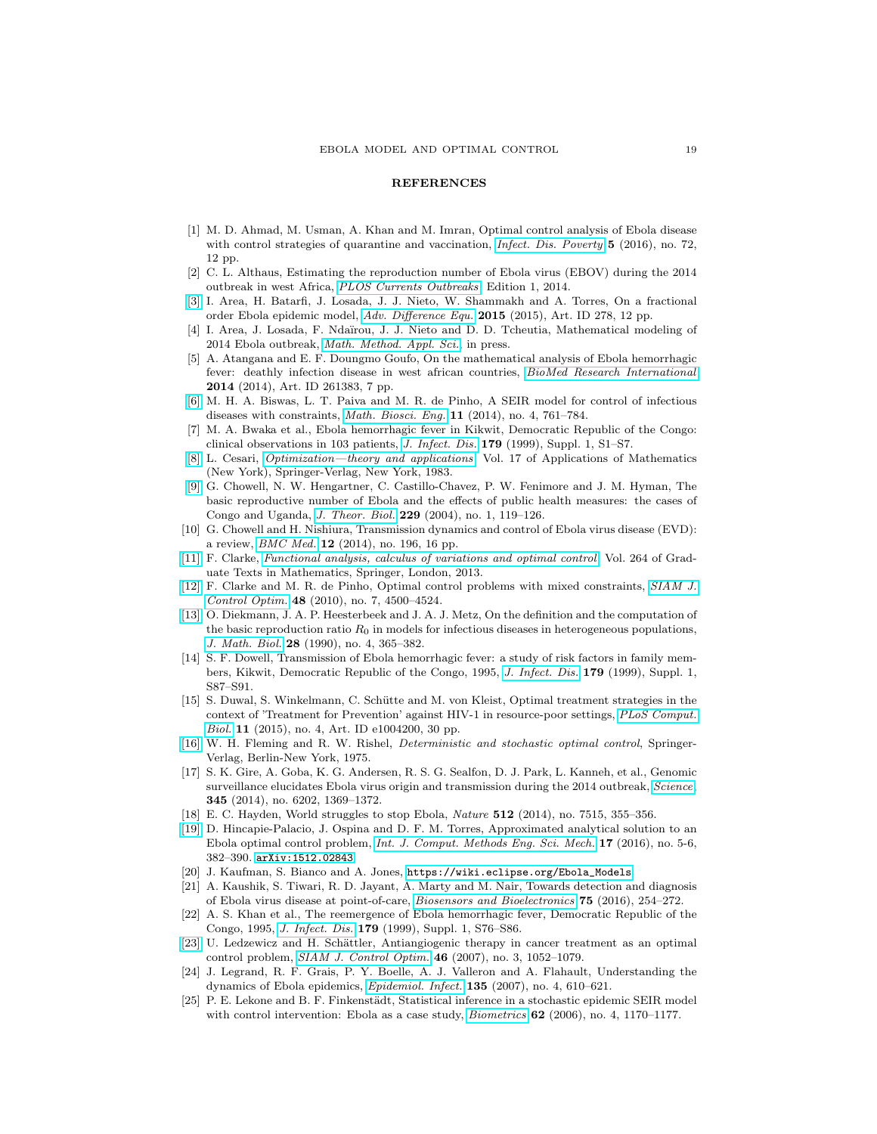## **REFERENCES**

- <span id="page-18-14"></span>[1] M. D. Ahmad, M. Usman, A. Khan and M. Imran, Optimal control analysis of Ebola disease with control strategies of quarantine and vaccination, *[Infect. Dis. Poverty](http://dx.doi.org/10.1186/s40249-016-0161-6)* **5** (2016), no. 72, 12 pp.
- <span id="page-18-6"></span>[2] C. L. Althaus, Estimating the reproduction number of Ebola virus (EBOV) during the 2014 outbreak in west Africa, [PLOS Currents Outbreaks](http://dx.doi.org/10.1371/currents.outbreaks.91afb5e0f279e7f29e7056095255b288), Edition 1, 2014.
- <span id="page-18-7"></span>[\[3\]](http://www.ams.org/mathscinet-getitem?mr=MR3394468&return=pdf) I. Area, H. Batarfi, J. Losada, J. J. Nieto, W. Shammakh and A. Torres, On a fractional order Ebola epidemic model, [Adv. Difference Equ.](http://dx.doi.org/10.1186/s13662-015-0613-5) 2015 (2015), Art. ID 278, 12 pp.
- <span id="page-18-8"></span>[4] I. Area, J. Losada, F. Ndaïrou, J. J. Nieto and D. D. Tcheutia, Mathematical modeling of 2014 Ebola outbreak, [Math. Method. Appl. Sci.](http://dx.doi.org/10.1002/mma.3794), in press.
- <span id="page-18-0"></span>[5] A. Atangana and E. F. Doungmo Goufo, On the mathematical analysis of Ebola hemorrhagic fever: deathly infection disease in west african countries, [BioMed Research International](http://dx.doi.org/10.1155/2014/261383) 2014 (2014), Art. ID 261383, 7 pp.
- <span id="page-18-17"></span>[\[6\]](http://www.ams.org/mathscinet-getitem?mr=MR3181992&return=pdf) M. H. A. Biswas, L. T. Paiva and M. R. de Pinho, A SEIR model for control of infectious diseases with constraints, [Math. Biosci. Eng.](http://dx.doi.org/10.3934/mbe.2014.11.761) 11 (2014), no. 4, 761-784.
- <span id="page-18-18"></span>[7] M. A. Bwaka et al., Ebola hemorrhagic fever in Kikwit, Democratic Republic of the Congo: clinical observations in 103 patients, [J. Infect. Dis.](http://dx.doi.org/10.1086/514308) 179 (1999), Suppl. 1, S1–S7.
- <span id="page-18-21"></span>[\[8\]](http://www.ams.org/mathscinet-getitem?mr=MR688142&return=pdf) L. Cesari, [Optimization—theory and applications](http://dx.doi.org/10.1007/978-1-4613-8165-5), Vol. 17 of Applications of Mathematics (New York), Springer-Verlag, New York, 1983.
- <span id="page-18-10"></span>[\[9\]](http://www.ams.org/mathscinet-getitem?mr=MR2082775&return=pdf) G. Chowell, N. W. Hengartner, C. Castillo-Chavez, P. W. Fenimore and J. M. Hyman, The basic reproductive number of Ebola and the effects of public health measures: the cases of Congo and Uganda, [J. Theor. Biol.](http://dx.doi.org/10.1016/j.jtbi.2004.03.006) 229 (2004), no. 1, 119–126.
- <span id="page-18-11"></span>[10] G. Chowell and H. Nishiura, Transmission dynamics and control of Ebola virus disease (EVD): a review, [BMC Med.](http://dx.doi.org/10.1186/s12916-014-0196-0) 12 (2014), no. 196, 16 pp.
- <span id="page-18-23"></span>[\[11\]](http://www.ams.org/mathscinet-getitem?mr=MR3026831&return=pdf) F. Clarke, [Functional analysis, calculus of variations and optimal control](http://dx.doi.org/10.1007/978-1-4471-4820-3), Vol. 264 of Graduate Texts in Mathematics, Springer, London, 2013.
- <span id="page-18-24"></span>[\[12\]](http://www.ams.org/mathscinet-getitem?mr=MR2683896&return=pdf) F. Clarke and M. R. de Pinho, Optimal control problems with mixed constraints, [SIAM J.](http://dx.doi.org/10.1137/090757642) [Control Optim.](http://dx.doi.org/10.1137/090757642) 48 (2010), no. 7, 4500–4524.
- <span id="page-18-16"></span>[\[13\]](http://www.ams.org/mathscinet-getitem?mr=MR1057044&return=pdf) O. Diekmann, J. A. P. Heesterbeek and J. A. J. Metz, On the definition and the computation of the basic reproduction ratio  $R_0$  in models for infectious diseases in heterogeneous populations, [J. Math. Biol.](http://dx.doi.org/10.1007/BF00178324) 28 (1990), no. 4, 365–382.
- <span id="page-18-19"></span>[14] S. F. Dowell, Transmission of Ebola hemorrhagic fever: a study of risk factors in family members, Kikwit, Democratic Republic of the Congo, 1995, [J. Infect. Dis.](http://dx.doi.org/10.1086/514284) 179 (1999), Suppl. 1, S87–S91.
- <span id="page-18-13"></span>[15] S. Duwal, S. Winkelmann, C. Schütte and M. von Kleist, Optimal treatment strategies in the context of 'Treatment for Prevention' against HIV-1 in resource-poor settings, [PLoS Comput.](http://dx.doi.org/10.1371/journal.pcbi.1004200) [Biol.](http://dx.doi.org/10.1371/journal.pcbi.1004200) 11 (2015), no. 4, Art. ID e1004200, 30 pp.
- <span id="page-18-22"></span>[\[16\]](http://www.ams.org/mathscinet-getitem?mr=MR0454768&return=pdf) W. H. Fleming and R. W. Rishel, Deterministic and stochastic optimal control, Springer-Verlag, Berlin-New York, 1975.
- <span id="page-18-1"></span>[17] S. K. Gire, A. Goba, K. G. Andersen, R. S. G. Sealfon, D. J. Park, L. Kanneh, et al., Genomic surveillance elucidates Ebola virus origin and transmission during the 2014 outbreak, [Science](http://dx.doi.org/10.1126/science.1259657), 345 (2014), no. 6202, 1369–1372.
- <span id="page-18-2"></span>[18] E. C. Hayden, World struggles to stop Ebola, Nature 512 (2014), no. 7515, 355–356.
- <span id="page-18-9"></span>[\[19\]](http://www.ams.org/mathscinet-getitem?mr=MR3578107&return=pdf) D. Hincapie-Palacio, J. Ospina and D. F. M. Torres, Approximated analytical solution to an Ebola optimal control problem, [Int. J. Comput. Methods Eng. Sci. Mech.](http://dx.doi.org/10.1080/15502287.2016.1231236) 17 (2016), no. 5-6, 382–390. [arXiv:1512.02843](http://arxiv.org/abs/1512.02843)
- <span id="page-18-15"></span>[20] J. Kaufman, S. Bianco and A. Jones, [https://wiki.eclipse.org/Ebola\\_Models](https://wiki.eclipse.org/Ebola_Models).
- <span id="page-18-3"></span>[21] A. Kaushik, S. Tiwari, R. D. Jayant, A. Marty and M. Nair, Towards detection and diagnosis of Ebola virus disease at point-of-care, [Biosensors and Bioelectronics](http://dx.doi.org/10.1016/j.bios.2015.08.040) 75 (2016), 254–272.
- <span id="page-18-20"></span>[22] A. S. Khan et al., The reemergence of Ebola hemorrhagic fever, Democratic Republic of the Congo, 1995, *[J. Infect. Dis.](http://dx.doi.org/10.1086/514306)* 179 (1999), Suppl. 1, S76-S86.
- <span id="page-18-12"></span>[\[23\]](http://www.ams.org/mathscinet-getitem?mr=MR2338438&return=pdf) U. Ledzewicz and H. Schättler, Antiangiogenic therapy in cancer treatment as an optimal control problem, [SIAM J. Control Optim.](http://dx.doi.org/10.1137/060665294) 46 (2007), no. 3, 1052–1079.
- <span id="page-18-4"></span>[24] J. Legrand, R. F. Grais, P. Y. Boelle, A. J. Valleron and A. Flahault, Understanding the dynamics of Ebola epidemics, [Epidemiol. Infect.](http://dx.doi.org/10.1017/S0950268806007217) 135 (2007), no. 4, 610–621.
- <span id="page-18-5"></span>[25] P. E. Lekone and B. F. Finkenstädt, Statistical inference in a stochastic epidemic SEIR model with control intervention: Ebola as a case study, *[Biometrics](http://dx.doi.org/10.1111/j.1541-0420.2006.00609.x)* 62 (2006), no. 4, 1170–1177.